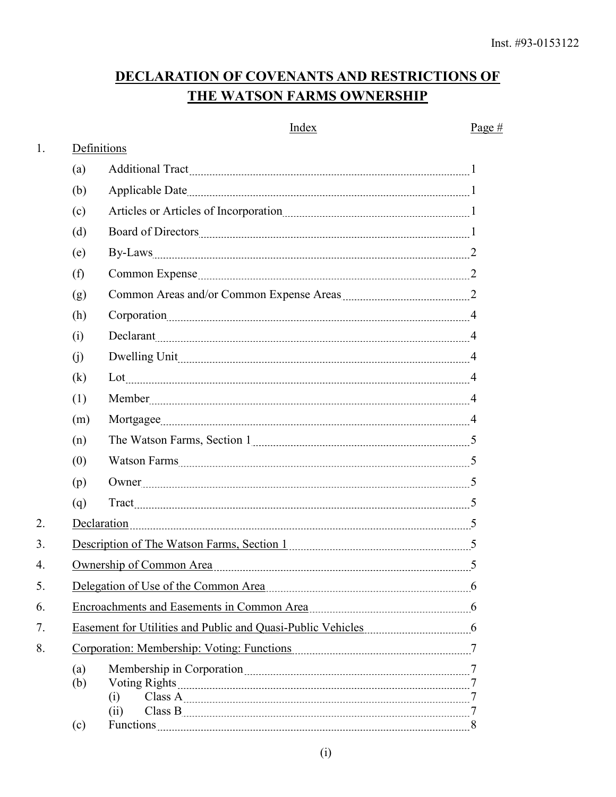# DECLARATION OF COVENANTS AND RESTRICTIONS OF THE WATSON FARMS OWNERSHIP

|              |     | Index                                                                                                          | Page # |  |  |
|--------------|-----|----------------------------------------------------------------------------------------------------------------|--------|--|--|
| 1.           |     | Definitions                                                                                                    |        |  |  |
|              | (a) |                                                                                                                |        |  |  |
|              | (b) |                                                                                                                |        |  |  |
|              | (c) |                                                                                                                |        |  |  |
|              | (d) |                                                                                                                |        |  |  |
|              | (e) |                                                                                                                |        |  |  |
|              | (f) | Common Expense 22                                                                                              |        |  |  |
|              | (g) | Common Areas and/or Common Expense Areas <b>Election</b> 2                                                     |        |  |  |
|              | (h) |                                                                                                                |        |  |  |
|              | (i) | Declarant 4                                                                                                    |        |  |  |
|              | (i) |                                                                                                                |        |  |  |
|              | (k) | Lot                                                                                                            |        |  |  |
|              | (1) | Member 4                                                                                                       |        |  |  |
|              | (m) |                                                                                                                |        |  |  |
|              | (n) |                                                                                                                |        |  |  |
|              | (0) |                                                                                                                |        |  |  |
|              | (p) |                                                                                                                |        |  |  |
|              | (q) |                                                                                                                |        |  |  |
| 2.           |     | Declaration                                                                                                    |        |  |  |
| 3.           |     | Description of The Watson Farms, Section 1                                                                     |        |  |  |
| $\mathbf{4}$ |     | Ownership of Common Area                                                                                       |        |  |  |
| 5.           |     | Delegation of Use of the Common Area                                                                           |        |  |  |
| 6.           |     | Encroachments and Easements in Common Area [11] [12] [12] [12] [13] [14] [15] [16] [16] [17] [17] [17] [17] [1 |        |  |  |
| 7.           |     |                                                                                                                |        |  |  |
| 8.           |     | Corporation: Membership: Voting: Functions [11] [2010] [2010] [2010] [2010] [2010] [2010] [2010] [2010] [2010  |        |  |  |
|              | (a) |                                                                                                                |        |  |  |
|              | (b) |                                                                                                                |        |  |  |
|              |     | (i)<br>(ii)                                                                                                    |        |  |  |
|              | (c) |                                                                                                                |        |  |  |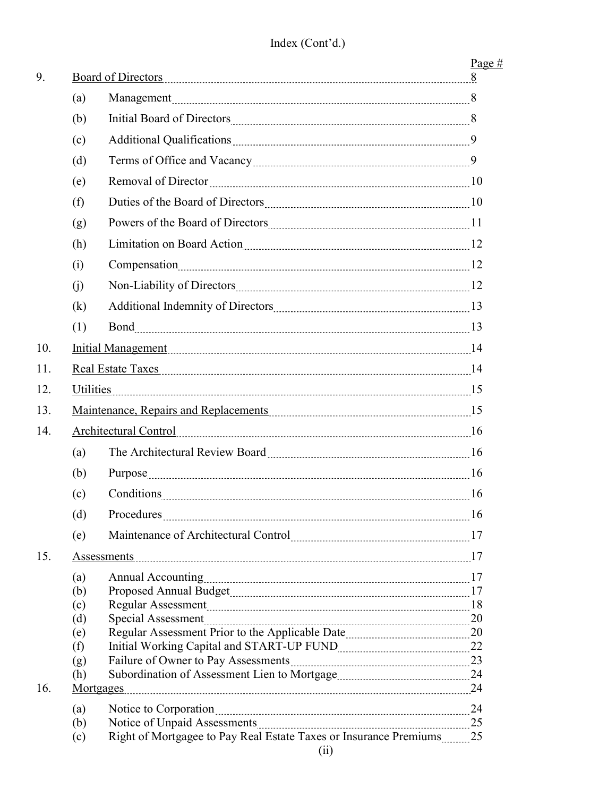| (a)<br>(b)<br>Additional Qualifications [100] Additional Qualifications [100] [100] [100] [100] [100] [100] [100] [100] [100<br>(c)<br>(d)<br>(e)<br>(f)<br>(g)<br>Limitation on Board Action [10] Limitation on Board Action [10] [10] Manuscover, 2008.<br>(h)<br>(i)<br>(i)<br>(k)<br>(1)<br>10.<br>Initial Management 14 |  |
|------------------------------------------------------------------------------------------------------------------------------------------------------------------------------------------------------------------------------------------------------------------------------------------------------------------------------|--|
|                                                                                                                                                                                                                                                                                                                              |  |
|                                                                                                                                                                                                                                                                                                                              |  |
|                                                                                                                                                                                                                                                                                                                              |  |
|                                                                                                                                                                                                                                                                                                                              |  |
|                                                                                                                                                                                                                                                                                                                              |  |
|                                                                                                                                                                                                                                                                                                                              |  |
|                                                                                                                                                                                                                                                                                                                              |  |
|                                                                                                                                                                                                                                                                                                                              |  |
|                                                                                                                                                                                                                                                                                                                              |  |
|                                                                                                                                                                                                                                                                                                                              |  |
|                                                                                                                                                                                                                                                                                                                              |  |
|                                                                                                                                                                                                                                                                                                                              |  |
|                                                                                                                                                                                                                                                                                                                              |  |
| Real Estate Taxes 14<br>11.                                                                                                                                                                                                                                                                                                  |  |
| Utilities<br>12.                                                                                                                                                                                                                                                                                                             |  |
| 13.<br>Maintenance, Repairs and Replacements [15] Maintenance and To-                                                                                                                                                                                                                                                        |  |
| 14.                                                                                                                                                                                                                                                                                                                          |  |
| (a)                                                                                                                                                                                                                                                                                                                          |  |
| (b)                                                                                                                                                                                                                                                                                                                          |  |
| (c)<br>Conditions 16                                                                                                                                                                                                                                                                                                         |  |
| (d)                                                                                                                                                                                                                                                                                                                          |  |
| (e)                                                                                                                                                                                                                                                                                                                          |  |
| 15.<br>Assessments                                                                                                                                                                                                                                                                                                           |  |
| (a)                                                                                                                                                                                                                                                                                                                          |  |
| (b)                                                                                                                                                                                                                                                                                                                          |  |
| (c)                                                                                                                                                                                                                                                                                                                          |  |
| (d)                                                                                                                                                                                                                                                                                                                          |  |
| (e)                                                                                                                                                                                                                                                                                                                          |  |
| (f)                                                                                                                                                                                                                                                                                                                          |  |
| (g)                                                                                                                                                                                                                                                                                                                          |  |
| (h)                                                                                                                                                                                                                                                                                                                          |  |
| 16.<br><b>Mortgages</b>                                                                                                                                                                                                                                                                                                      |  |
| (a)                                                                                                                                                                                                                                                                                                                          |  |
|                                                                                                                                                                                                                                                                                                                              |  |
| (b)                                                                                                                                                                                                                                                                                                                          |  |
| (c)<br>(ii)                                                                                                                                                                                                                                                                                                                  |  |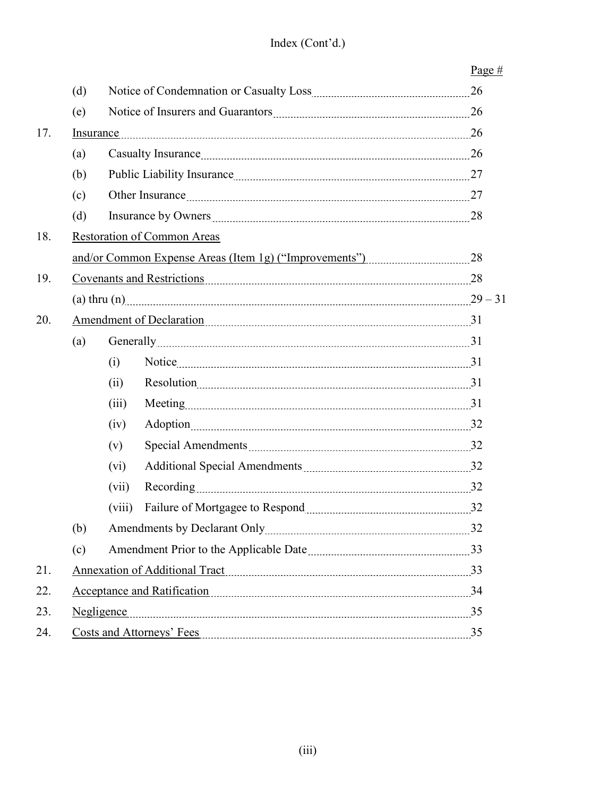|     |                                    |                                      |                                   | Page $#$ |  |
|-----|------------------------------------|--------------------------------------|-----------------------------------|----------|--|
|     | (d)                                |                                      |                                   |          |  |
| (e) |                                    |                                      |                                   |          |  |
| 17. |                                    | Insurance                            |                                   |          |  |
|     | (a)                                |                                      |                                   |          |  |
|     | (b)                                |                                      |                                   |          |  |
|     | (c)                                |                                      |                                   |          |  |
|     | (d)                                |                                      |                                   |          |  |
| 18. | <b>Restoration of Common Areas</b> |                                      |                                   |          |  |
|     |                                    |                                      |                                   |          |  |
| 19. |                                    | <u>Covenants and Restrictions</u> 28 |                                   |          |  |
|     |                                    | (a) thru (n) 29 – 31                 |                                   |          |  |
| 20. |                                    | Amendment of Declaration 21          |                                   |          |  |
|     | (a)                                |                                      | Generally 31                      |          |  |
|     |                                    | (i)                                  |                                   |          |  |
|     |                                    | (ii)                                 |                                   |          |  |
|     |                                    | (iii)                                |                                   |          |  |
|     |                                    | (iv)                                 |                                   |          |  |
|     |                                    | (v)                                  |                                   |          |  |
|     |                                    | $(v_i)$                              |                                   |          |  |
|     |                                    | (vii)                                | Recording 22                      |          |  |
|     |                                    | (viii)                               |                                   |          |  |
|     | (b)                                |                                      |                                   |          |  |
|     | (c)                                |                                      |                                   |          |  |
| 21. |                                    |                                      | Annexation of Additional Tract 33 |          |  |
| 22. |                                    |                                      | Acceptance and Ratification       |          |  |
| 23. |                                    |                                      | Negligence 35                     |          |  |
| 24. |                                    |                                      |                                   |          |  |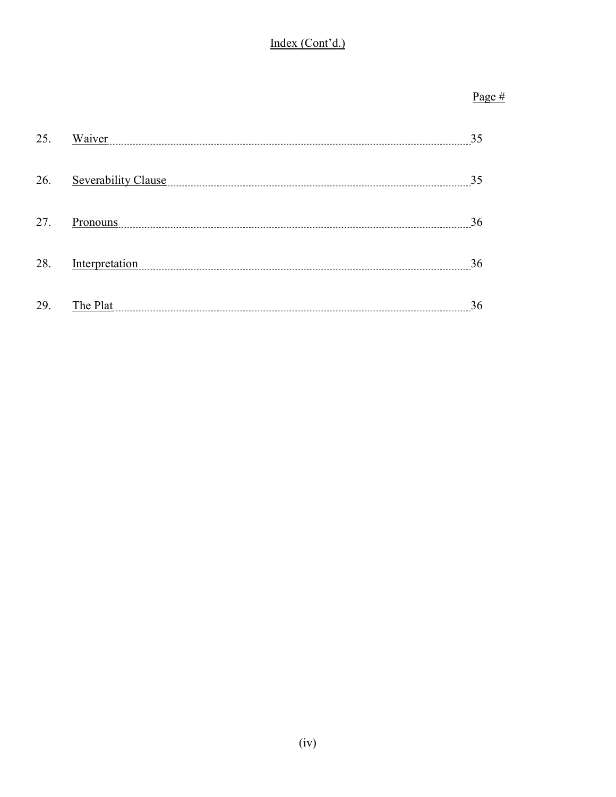# Index (Cont'd.)

# Page #

| 25. | Waiver              | 35 |
|-----|---------------------|----|
| 26. | Severability Clause | 35 |
| 27. | Pronouns            | 36 |
| 28. | Interpretation      | 36 |
| 29. | The Plat            | 36 |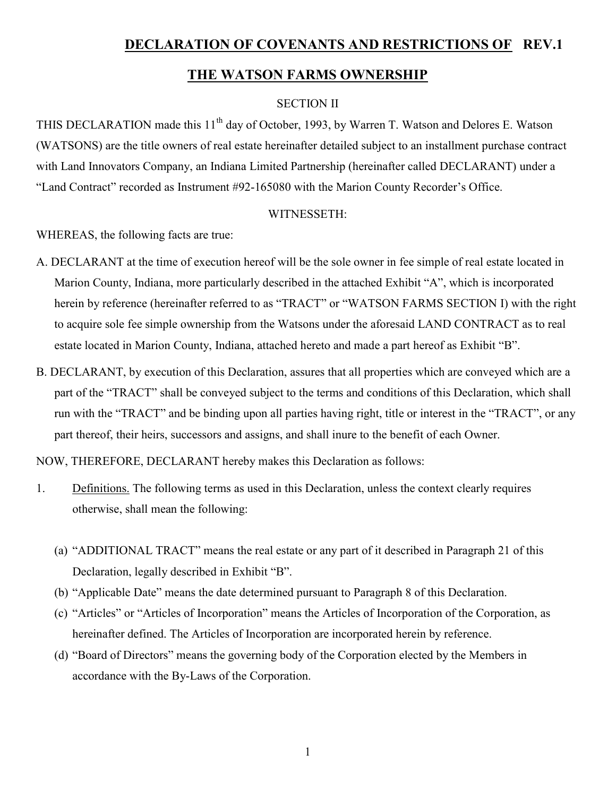# DECLARATION OF COVENANTS AND RESTRICTIONS OF REV.1

# THE WATSON FARMS OWNERSHIP

#### SECTION II

THIS DECLARATION made this 11<sup>th</sup> day of October, 1993, by Warren T. Watson and Delores E. Watson (WATSONS) are the title owners of real estate hereinafter detailed subject to an installment purchase contract with Land Innovators Company, an Indiana Limited Partnership (hereinafter called DECLARANT) under a "Land Contract" recorded as Instrument #92-165080 with the Marion County Recorder's Office.

#### WITNESSETH:

WHEREAS, the following facts are true:

- A. DECLARANT at the time of execution hereof will be the sole owner in fee simple of real estate located in Marion County, Indiana, more particularly described in the attached Exhibit "A", which is incorporated herein by reference (hereinafter referred to as "TRACT" or "WATSON FARMS SECTION I) with the right to acquire sole fee simple ownership from the Watsons under the aforesaid LAND CONTRACT as to real estate located in Marion County, Indiana, attached hereto and made a part hereof as Exhibit "B".
- B. DECLARANT, by execution of this Declaration, assures that all properties which are conveyed which are a part of the "TRACT" shall be conveyed subject to the terms and conditions of this Declaration, which shall run with the "TRACT" and be binding upon all parties having right, title or interest in the "TRACT", or any part thereof, their heirs, successors and assigns, and shall inure to the benefit of each Owner.

NOW, THEREFORE, DECLARANT hereby makes this Declaration as follows:

- 1. Definitions. The following terms as used in this Declaration, unless the context clearly requires otherwise, shall mean the following:
	- (a) "ADDITIONAL TRACT" means the real estate or any part of it described in Paragraph 21 of this Declaration, legally described in Exhibit "B".
	- (b) "Applicable Date" means the date determined pursuant to Paragraph 8 of this Declaration.
	- (c) "Articles" or "Articles of Incorporation" means the Articles of Incorporation of the Corporation, as hereinafter defined. The Articles of Incorporation are incorporated herein by reference.
	- (d) "Board of Directors" means the governing body of the Corporation elected by the Members in accordance with the By-Laws of the Corporation.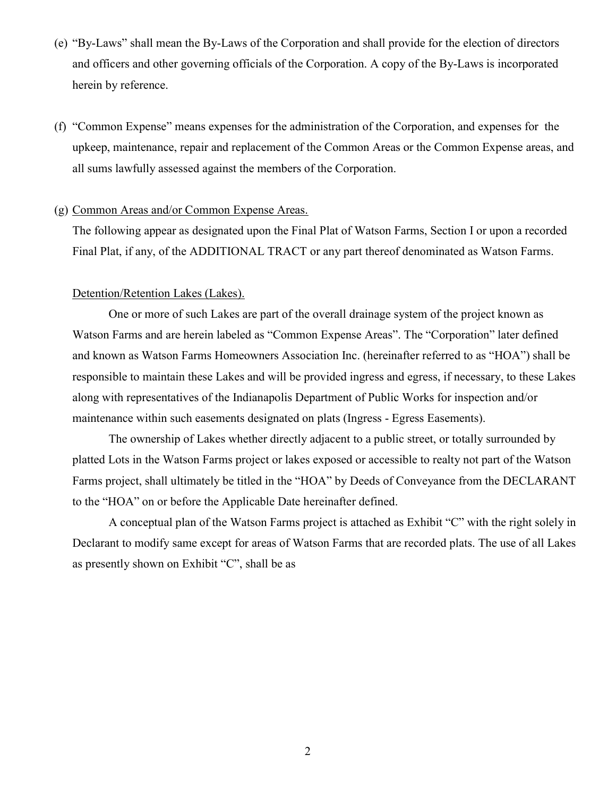- (e) "By-Laws" shall mean the By-Laws of the Corporation and shall provide for the election of directors and officers and other governing officials of the Corporation. A copy of the By-Laws is incorporated herein by reference.
- (f) "Common Expense" means expenses for the administration of the Corporation, and expenses for the upkeep, maintenance, repair and replacement of the Common Areas or the Common Expense areas, and all sums lawfully assessed against the members of the Corporation.

#### (g) Common Areas and/or Common Expense Areas.

The following appear as designated upon the Final Plat of Watson Farms, Section I or upon a recorded Final Plat, if any, of the ADDITIONAL TRACT or any part thereof denominated as Watson Farms.

#### Detention/Retention Lakes (Lakes).

One or more of such Lakes are part of the overall drainage system of the project known as Watson Farms and are herein labeled as "Common Expense Areas". The "Corporation" later defined and known as Watson Farms Homeowners Association Inc. (hereinafter referred to as "HOA") shall be responsible to maintain these Lakes and will be provided ingress and egress, if necessary, to these Lakes along with representatives of the Indianapolis Department of Public Works for inspection and/or maintenance within such easements designated on plats (Ingress - Egress Easements).

The ownership of Lakes whether directly adjacent to a public street, or totally surrounded by platted Lots in the Watson Farms project or lakes exposed or accessible to realty not part of the Watson Farms project, shall ultimately be titled in the "HOA" by Deeds of Conveyance from the DECLARANT to the "HOA" on or before the Applicable Date hereinafter defined.

 A conceptual plan of the Watson Farms project is attached as Exhibit "C" with the right solely in Declarant to modify same except for areas of Watson Farms that are recorded plats. The use of all Lakes as presently shown on Exhibit "C", shall be as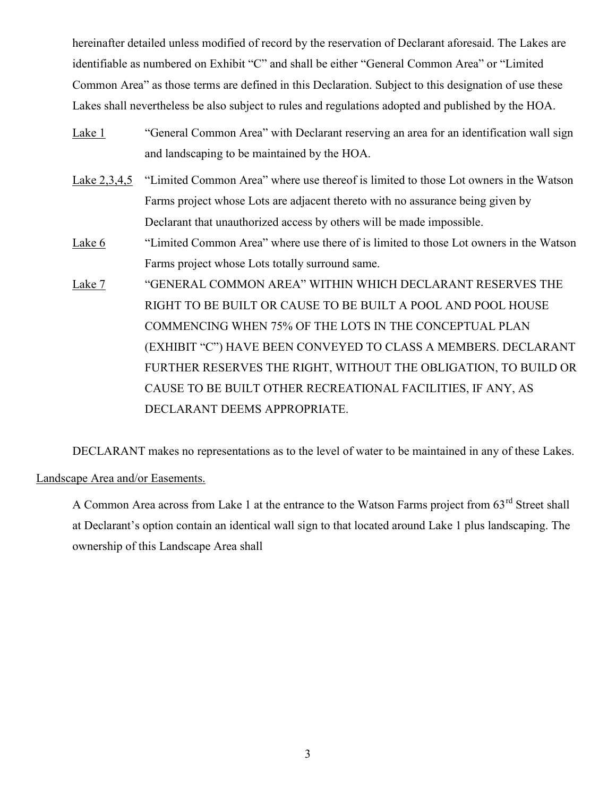hereinafter detailed unless modified of record by the reservation of Declarant aforesaid. The Lakes are identifiable as numbered on Exhibit "C" and shall be either "General Common Area" or "Limited Common Area" as those terms are defined in this Declaration. Subject to this designation of use these Lakes shall nevertheless be also subject to rules and regulations adopted and published by the HOA.

- Lake 1 "General Common Area" with Declarant reserving an area for an identification wall sign and landscaping to be maintained by the HOA.
- Lake 2,3,4,5 "Limited Common Area" where use thereof is limited to those Lot owners in the Watson Farms project whose Lots are adjacent thereto with no assurance being given by Declarant that unauthorized access by others will be made impossible.
- Lake 6 "Limited Common Area" where use there of is limited to those Lot owners in the Watson Farms project whose Lots totally surround same.
- Lake 7 "GENERAL COMMON AREA" WITHIN WHICH DECLARANT RESERVES THE RIGHT TO BE BUILT OR CAUSE TO BE BUILT A POOL AND POOL HOUSE COMMENCING WHEN 75% OF THE LOTS IN THE CONCEPTUAL PLAN (EXHIBIT "C") HAVE BEEN CONVEYED TO CLASS A MEMBERS. DECLARANT FURTHER RESERVES THE RIGHT, WITHOUT THE OBLIGATION, TO BUILD OR CAUSE TO BE BUILT OTHER RECREATIONAL FACILITIES, IF ANY, AS DECLARANT DEEMS APPROPRIATE.

DECLARANT makes no representations as to the level of water to be maintained in any of these Lakes.

Landscape Area and/or Easements.

A Common Area across from Lake 1 at the entrance to the Watson Farms project from 63<sup>rd</sup> Street shall at Declarant's option contain an identical wall sign to that located around Lake 1 plus landscaping. The ownership of this Landscape Area shall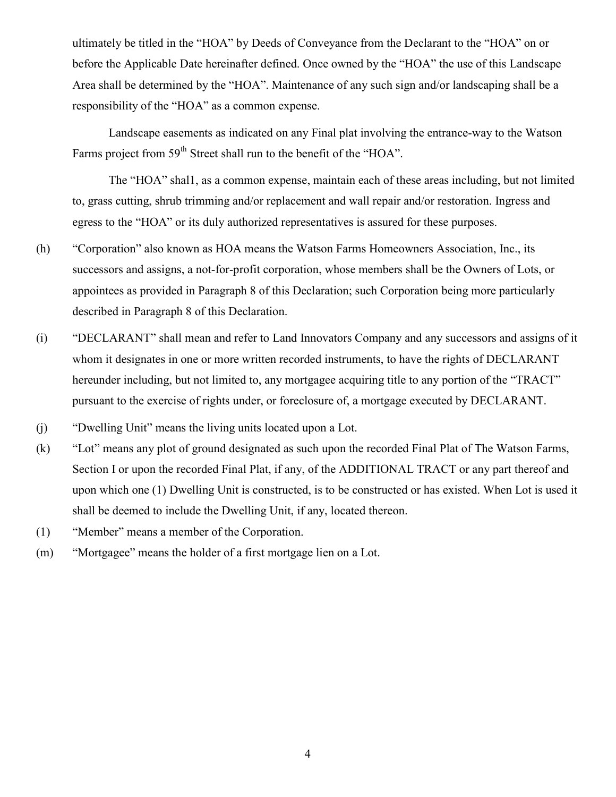ultimately be titled in the "HOA" by Deeds of Conveyance from the Declarant to the "HOA" on or before the Applicable Date hereinafter defined. Once owned by the "HOA" the use of this Landscape Area shall be determined by the "HOA". Maintenance of any such sign and/or landscaping shall be a responsibility of the "HOA" as a common expense.

Landscape easements as indicated on any Final plat involving the entrance-way to the Watson Farms project from 59<sup>th</sup> Street shall run to the benefit of the "HOA".

The "HOA" shal1, as a common expense, maintain each of these areas including, but not limited to, grass cutting, shrub trimming and/or replacement and wall repair and/or restoration. Ingress and egress to the "HOA" or its duly authorized representatives is assured for these purposes.

- (h) "Corporation" also known as HOA means the Watson Farms Homeowners Association, Inc., its successors and assigns, a not-for-profit corporation, whose members shall be the Owners of Lots, or appointees as provided in Paragraph 8 of this Declaration; such Corporation being more particularly described in Paragraph 8 of this Declaration.
- (i) "DECLARANT" shall mean and refer to Land Innovators Company and any successors and assigns of it whom it designates in one or more written recorded instruments, to have the rights of DECLARANT hereunder including, but not limited to, any mortgagee acquiring title to any portion of the "TRACT" pursuant to the exercise of rights under, or foreclosure of, a mortgage executed by DECLARANT.
- (j) "Dwelling Unit" means the living units located upon a Lot.
- (k) "Lot" means any plot of ground designated as such upon the recorded Final Plat of The Watson Farms, Section I or upon the recorded Final Plat, if any, of the ADDITIONAL TRACT or any part thereof and upon which one (1) Dwelling Unit is constructed, is to be constructed or has existed. When Lot is used it shall be deemed to include the Dwelling Unit, if any, located thereon.
- (1) "Member" means a member of the Corporation.
- (m) "Mortgagee" means the holder of a first mortgage lien on a Lot.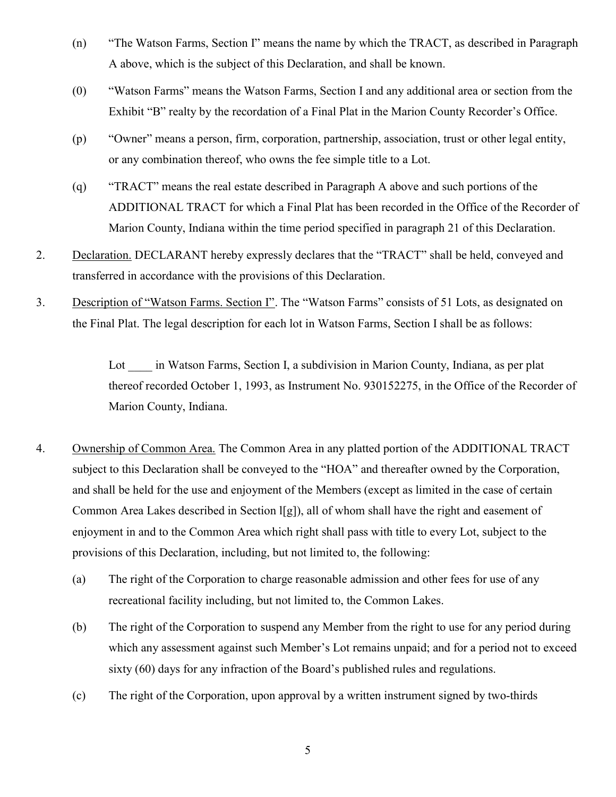- (n) "The Watson Farms, Section I" means the name by which the TRACT, as described in Paragraph A above, which is the subject of this Declaration, and shall be known.
- (0) "Watson Farms" means the Watson Farms, Section I and any additional area or section from the Exhibit "B" realty by the recordation of a Final Plat in the Marion County Recorder's Office.
- (p) "Owner" means a person, firm, corporation, partnership, association, trust or other legal entity, or any combination thereof, who owns the fee simple title to a Lot.
- (q) "TRACT" means the real estate described in Paragraph A above and such portions of the ADDITIONAL TRACT for which a Final Plat has been recorded in the Office of the Recorder of Marion County, Indiana within the time period specified in paragraph 21 of this Declaration.
- 2. Declaration. DECLARANT hereby expressly declares that the "TRACT" shall be held, conveyed and transferred in accordance with the provisions of this Declaration.
- 3. Description of "Watson Farms. Section I". The "Watson Farms" consists of 51 Lots, as designated on the Final Plat. The legal description for each lot in Watson Farms, Section I shall be as follows:

Lot in Watson Farms, Section I, a subdivision in Marion County, Indiana, as per plat thereof recorded October 1, 1993, as Instrument No. 930152275, in the Office of the Recorder of Marion County, Indiana.

- 4. Ownership of Common Area. The Common Area in any platted portion of the ADDITIONAL TRACT subject to this Declaration shall be conveyed to the "HOA" and thereafter owned by the Corporation, and shall be held for the use and enjoyment of the Members (except as limited in the case of certain Common Area Lakes described in Section l[g]), all of whom shall have the right and easement of enjoyment in and to the Common Area which right shall pass with title to every Lot, subject to the provisions of this Declaration, including, but not limited to, the following:
	- (a) The right of the Corporation to charge reasonable admission and other fees for use of any recreational facility including, but not limited to, the Common Lakes.
	- (b) The right of the Corporation to suspend any Member from the right to use for any period during which any assessment against such Member's Lot remains unpaid; and for a period not to exceed sixty (60) days for any infraction of the Board's published rules and regulations.
	- (c) The right of the Corporation, upon approval by a written instrument signed by two-thirds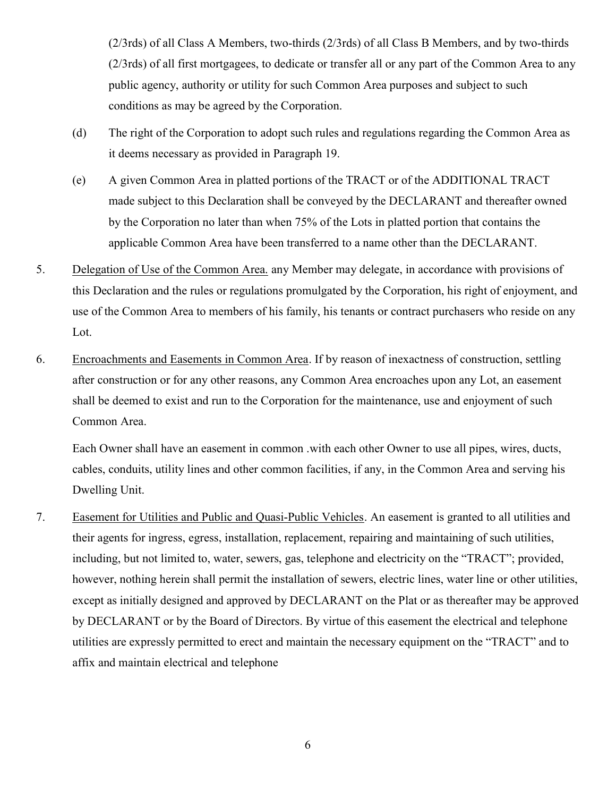(2/3rds) of all Class A Members, two-thirds (2/3rds) of all Class B Members, and by two-thirds (2/3rds) of all first mortgagees, to dedicate or transfer all or any part of the Common Area to any public agency, authority or utility for such Common Area purposes and subject to such conditions as may be agreed by the Corporation.

- (d) The right of the Corporation to adopt such rules and regulations regarding the Common Area as it deems necessary as provided in Paragraph 19.
- (e) A given Common Area in platted portions of the TRACT or of the ADDITIONAL TRACT made subject to this Declaration shall be conveyed by the DECLARANT and thereafter owned by the Corporation no later than when 75% of the Lots in platted portion that contains the applicable Common Area have been transferred to a name other than the DECLARANT.
- 5. Delegation of Use of the Common Area. any Member may delegate, in accordance with provisions of this Declaration and the rules or regulations promulgated by the Corporation, his right of enjoyment, and use of the Common Area to members of his family, his tenants or contract purchasers who reside on any Lot.
- 6. Encroachments and Easements in Common Area. If by reason of inexactness of construction, settling after construction or for any other reasons, any Common Area encroaches upon any Lot, an easement shall be deemed to exist and run to the Corporation for the maintenance, use and enjoyment of such Common Area.

Each Owner shall have an easement in common .with each other Owner to use all pipes, wires, ducts, cables, conduits, utility lines and other common facilities, if any, in the Common Area and serving his Dwelling Unit.

7. Easement for Utilities and Public and Quasi-Public Vehicles. An easement is granted to all utilities and their agents for ingress, egress, installation, replacement, repairing and maintaining of such utilities, including, but not limited to, water, sewers, gas, telephone and electricity on the "TRACT"; provided, however, nothing herein shall permit the installation of sewers, electric lines, water line or other utilities, except as initially designed and approved by DECLARANT on the Plat or as thereafter may be approved by DECLARANT or by the Board of Directors. By virtue of this easement the electrical and telephone utilities are expressly permitted to erect and maintain the necessary equipment on the "TRACT" and to affix and maintain electrical and telephone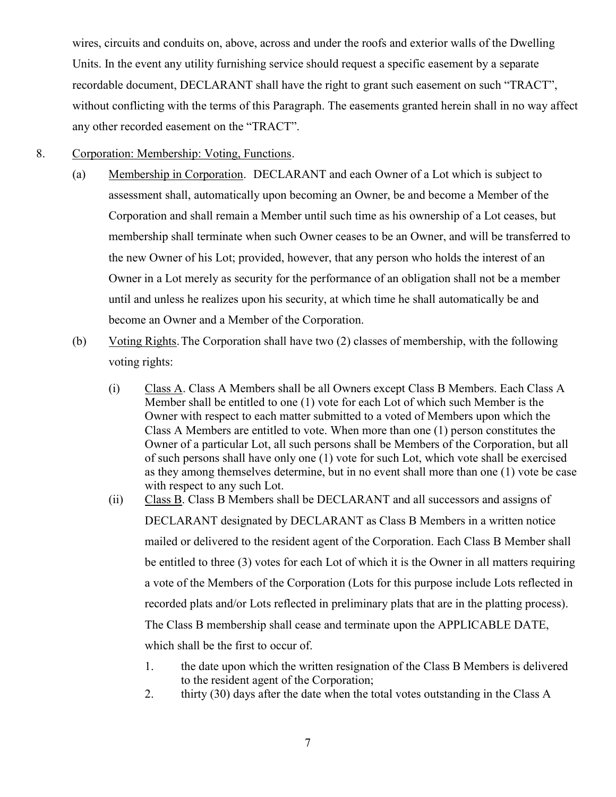wires, circuits and conduits on, above, across and under the roofs and exterior walls of the Dwelling Units. In the event any utility furnishing service should request a specific easement by a separate recordable document, DECLARANT shall have the right to grant such easement on such "TRACT", without conflicting with the terms of this Paragraph. The easements granted herein shall in no way affect any other recorded easement on the "TRACT".

#### 8. Corporation: Membership: Voting, Functions.

- (a) Membership in Corporation. DECLARANT and each Owner of a Lot which is subject to assessment shall, automatically upon becoming an Owner, be and become a Member of the Corporation and shall remain a Member until such time as his ownership of a Lot ceases, but membership shall terminate when such Owner ceases to be an Owner, and will be transferred to the new Owner of his Lot; provided, however, that any person who holds the interest of an Owner in a Lot merely as security for the performance of an obligation shall not be a member until and unless he realizes upon his security, at which time he shall automatically be and become an Owner and a Member of the Corporation.
- (b) Voting Rights. The Corporation shall have two (2) classes of membership, with the following voting rights:
	- (i) Class A. Class A Members shall be all Owners except Class B Members. Each Class A Member shall be entitled to one (1) vote for each Lot of which such Member is the Owner with respect to each matter submitted to a voted of Members upon which the Class A Members are entitled to vote. When more than one (1) person constitutes the Owner of a particular Lot, all such persons shall be Members of the Corporation, but all of such persons shall have only one (1) vote for such Lot, which vote shall be exercised as they among themselves determine, but in no event shall more than one (1) vote be case with respect to any such Lot.
	- (ii) Class B. Class B Members shall be DECLARANT and all successors and assigns of DECLARANT designated by DECLARANT as Class B Members in a written notice mailed or delivered to the resident agent of the Corporation. Each Class B Member shall be entitled to three (3) votes for each Lot of which it is the Owner in all matters requiring a vote of the Members of the Corporation (Lots for this purpose include Lots reflected in recorded plats and/or Lots reflected in preliminary plats that are in the platting process). The Class B membership shall cease and terminate upon the APPLICABLE DATE, which shall be the first to occur of.
		- 1. the date upon which the written resignation of the Class B Members is delivered to the resident agent of the Corporation;
		- 2. thirty (30) days after the date when the total votes outstanding in the Class A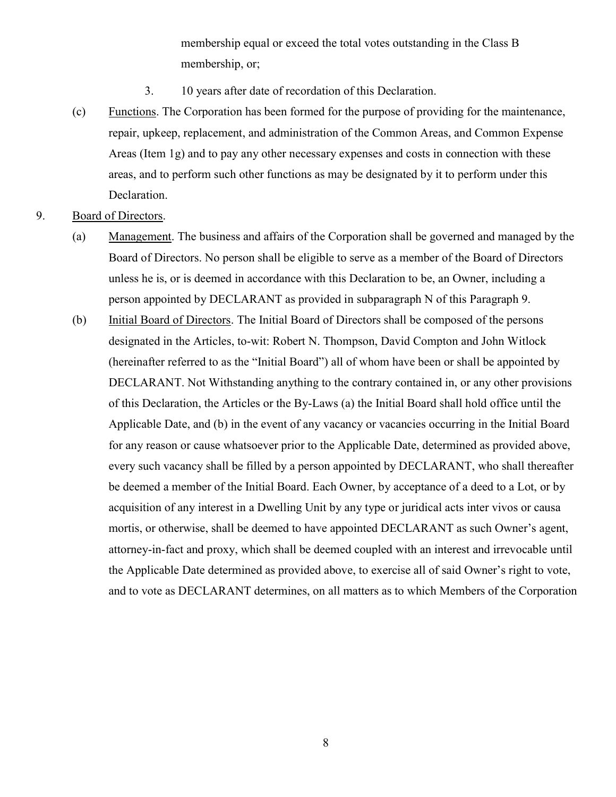membership equal or exceed the total votes outstanding in the Class B membership, or;

- 3. 10 years after date of recordation of this Declaration.
- (c) Functions. The Corporation has been formed for the purpose of providing for the maintenance, repair, upkeep, replacement, and administration of the Common Areas, and Common Expense Areas (Item 1g) and to pay any other necessary expenses and costs in connection with these areas, and to perform such other functions as may be designated by it to perform under this Declaration.
- 9. Board of Directors.
	- (a) Management. The business and affairs of the Corporation shall be governed and managed by the Board of Directors. No person shall be eligible to serve as a member of the Board of Directors unless he is, or is deemed in accordance with this Declaration to be, an Owner, including a person appointed by DECLARANT as provided in subparagraph N of this Paragraph 9.
	- (b) Initial Board of Directors. The Initial Board of Directors shall be composed of the persons designated in the Articles, to-wit: Robert N. Thompson, David Compton and John Witlock (hereinafter referred to as the "Initial Board") all of whom have been or shall be appointed by DECLARANT. Not Withstanding anything to the contrary contained in, or any other provisions of this Declaration, the Articles or the By-Laws (a) the Initial Board shall hold office until the Applicable Date, and (b) in the event of any vacancy or vacancies occurring in the Initial Board for any reason or cause whatsoever prior to the Applicable Date, determined as provided above, every such vacancy shall be filled by a person appointed by DECLARANT, who shall thereafter be deemed a member of the Initial Board. Each Owner, by acceptance of a deed to a Lot, or by acquisition of any interest in a Dwelling Unit by any type or juridical acts inter vivos or causa mortis, or otherwise, shall be deemed to have appointed DECLARANT as such Owner's agent, attorney-in-fact and proxy, which shall be deemed coupled with an interest and irrevocable until the Applicable Date determined as provided above, to exercise all of said Owner's right to vote, and to vote as DECLARANT determines, on all matters as to which Members of the Corporation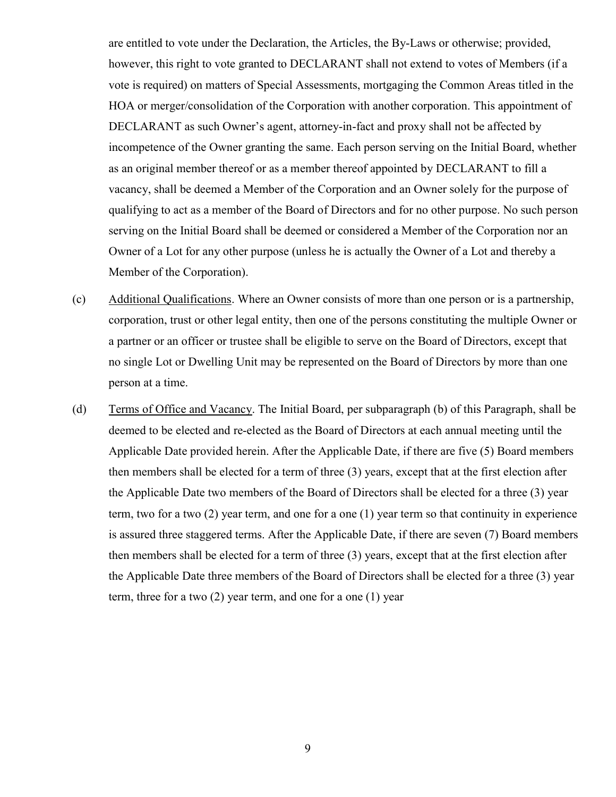are entitled to vote under the Declaration, the Articles, the By-Laws or otherwise; provided, however, this right to vote granted to DECLARANT shall not extend to votes of Members (if a vote is required) on matters of Special Assessments, mortgaging the Common Areas titled in the HOA or merger/consolidation of the Corporation with another corporation. This appointment of DECLARANT as such Owner's agent, attorney-in-fact and proxy shall not be affected by incompetence of the Owner granting the same. Each person serving on the Initial Board, whether as an original member thereof or as a member thereof appointed by DECLARANT to fill a vacancy, shall be deemed a Member of the Corporation and an Owner solely for the purpose of qualifying to act as a member of the Board of Directors and for no other purpose. No such person serving on the Initial Board shall be deemed or considered a Member of the Corporation nor an Owner of a Lot for any other purpose (unless he is actually the Owner of a Lot and thereby a Member of the Corporation).

- (c) Additional Qualifications. Where an Owner consists of more than one person or is a partnership, corporation, trust or other legal entity, then one of the persons constituting the multiple Owner or a partner or an officer or trustee shall be eligible to serve on the Board of Directors, except that no single Lot or Dwelling Unit may be represented on the Board of Directors by more than one person at a time.
- (d) Terms of Office and Vacancy. The Initial Board, per subparagraph (b) of this Paragraph, shall be deemed to be elected and re-elected as the Board of Directors at each annual meeting until the Applicable Date provided herein. After the Applicable Date, if there are five (5) Board members then members shall be elected for a term of three (3) years, except that at the first election after the Applicable Date two members of the Board of Directors shall be elected for a three (3) year term, two for a two (2) year term, and one for a one (1) year term so that continuity in experience is assured three staggered terms. After the Applicable Date, if there are seven (7) Board members then members shall be elected for a term of three (3) years, except that at the first election after the Applicable Date three members of the Board of Directors shall be elected for a three (3) year term, three for a two (2) year term, and one for a one (1) year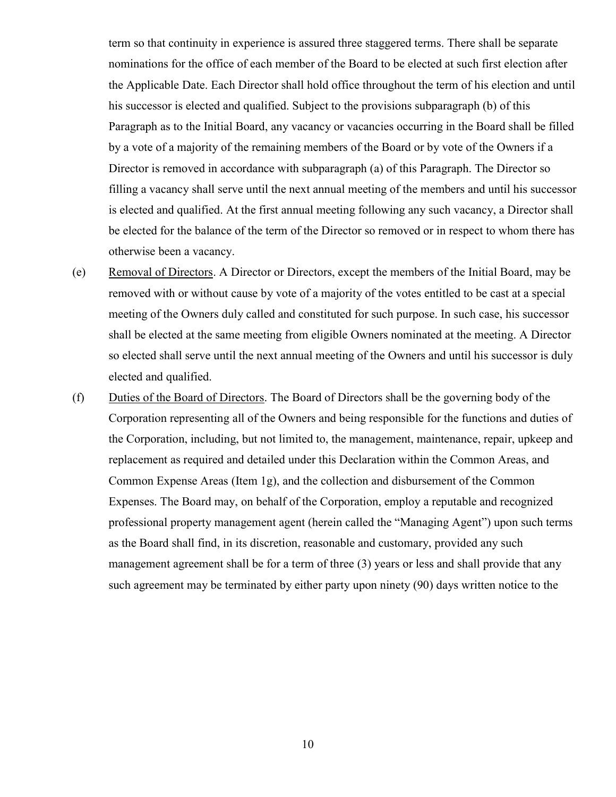term so that continuity in experience is assured three staggered terms. There shall be separate nominations for the office of each member of the Board to be elected at such first election after the Applicable Date. Each Director shall hold office throughout the term of his election and until his successor is elected and qualified. Subject to the provisions subparagraph (b) of this Paragraph as to the Initial Board, any vacancy or vacancies occurring in the Board shall be filled by a vote of a majority of the remaining members of the Board or by vote of the Owners if a Director is removed in accordance with subparagraph (a) of this Paragraph. The Director so filling a vacancy shall serve until the next annual meeting of the members and until his successor is elected and qualified. At the first annual meeting following any such vacancy, a Director shall be elected for the balance of the term of the Director so removed or in respect to whom there has otherwise been a vacancy.

- (e) Removal of Directors. A Director or Directors, except the members of the Initial Board, may be removed with or without cause by vote of a majority of the votes entitled to be cast at a special meeting of the Owners duly called and constituted for such purpose. In such case, his successor shall be elected at the same meeting from eligible Owners nominated at the meeting. A Director so elected shall serve until the next annual meeting of the Owners and until his successor is duly elected and qualified.
- (f) Duties of the Board of Directors. The Board of Directors shall be the governing body of the Corporation representing all of the Owners and being responsible for the functions and duties of the Corporation, including, but not limited to, the management, maintenance, repair, upkeep and replacement as required and detailed under this Declaration within the Common Areas, and Common Expense Areas (Item 1g), and the collection and disbursement of the Common Expenses. The Board may, on behalf of the Corporation, employ a reputable and recognized professional property management agent (herein called the "Managing Agent") upon such terms as the Board shall find, in its discretion, reasonable and customary, provided any such management agreement shall be for a term of three (3) years or less and shall provide that any such agreement may be terminated by either party upon ninety (90) days written notice to the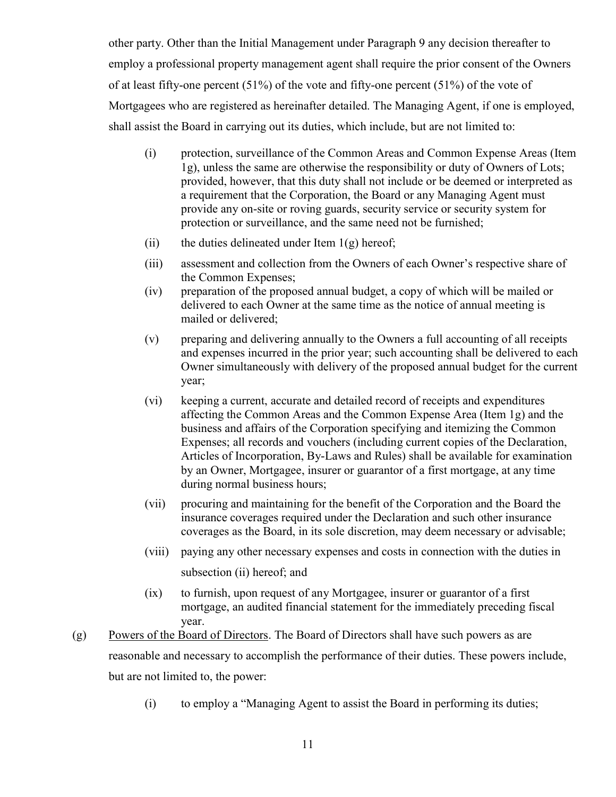other party. Other than the Initial Management under Paragraph 9 any decision thereafter to employ a professional property management agent shall require the prior consent of the Owners of at least fifty-one percent  $(51\%)$  of the vote and fifty-one percent  $(51\%)$  of the vote of Mortgagees who are registered as hereinafter detailed. The Managing Agent, if one is employed, shall assist the Board in carrying out its duties, which include, but are not limited to:

- (i) protection, surveillance of the Common Areas and Common Expense Areas (Item 1g), unless the same are otherwise the responsibility or duty of Owners of Lots; provided, however, that this duty shall not include or be deemed or interpreted as a requirement that the Corporation, the Board or any Managing Agent must provide any on-site or roving guards, security service or security system for protection or surveillance, and the same need not be furnished;
- (ii) the duties delineated under Item  $1(g)$  hereof;
- (iii) assessment and collection from the Owners of each Owner's respective share of the Common Expenses;
- (iv) preparation of the proposed annual budget, a copy of which will be mailed or delivered to each Owner at the same time as the notice of annual meeting is mailed or delivered;
- (v) preparing and delivering annually to the Owners a full accounting of all receipts and expenses incurred in the prior year; such accounting shall be delivered to each Owner simultaneously with delivery of the proposed annual budget for the current year;
- (vi) keeping a current, accurate and detailed record of receipts and expenditures affecting the Common Areas and the Common Expense Area (Item 1g) and the business and affairs of the Corporation specifying and itemizing the Common Expenses; all records and vouchers (including current copies of the Declaration, Articles of Incorporation, By-Laws and Rules) shall be available for examination by an Owner, Mortgagee, insurer or guarantor of a first mortgage, at any time during normal business hours;
- (vii) procuring and maintaining for the benefit of the Corporation and the Board the insurance coverages required under the Declaration and such other insurance coverages as the Board, in its sole discretion, may deem necessary or advisable;
- (viii) paying any other necessary expenses and costs in connection with the duties in subsection (ii) hereof; and
- (ix) to furnish, upon request of any Mortgagee, insurer or guarantor of a first mortgage, an audited financial statement for the immediately preceding fiscal year.
- (g) Powers of the Board of Directors. The Board of Directors shall have such powers as are reasonable and necessary to accomplish the performance of their duties. These powers include, but are not limited to, the power:
	- (i) to employ a "Managing Agent to assist the Board in performing its duties;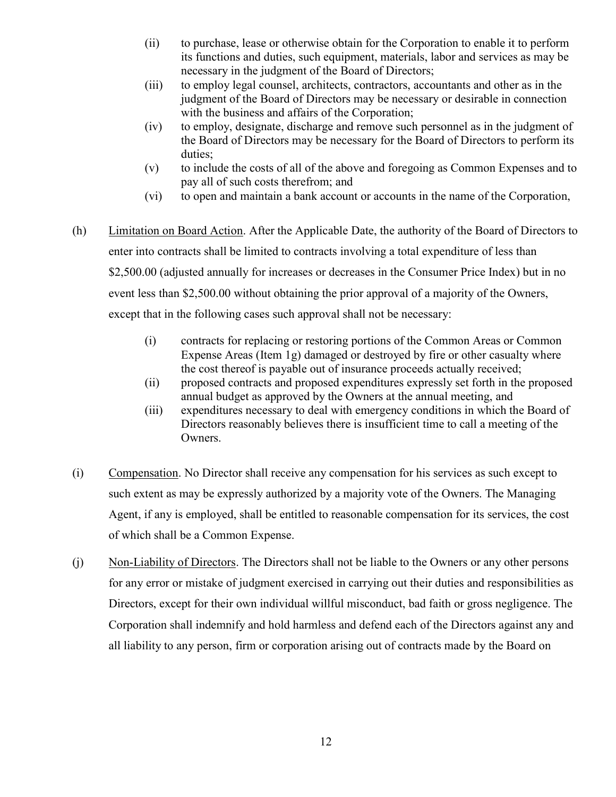- (ii) to purchase, lease or otherwise obtain for the Corporation to enable it to perform its functions and duties, such equipment, materials, labor and services as may be necessary in the judgment of the Board of Directors;
- (iii) to employ legal counsel, architects, contractors, accountants and other as in the judgment of the Board of Directors may be necessary or desirable in connection with the business and affairs of the Corporation;
- (iv) to employ, designate, discharge and remove such personnel as in the judgment of the Board of Directors may be necessary for the Board of Directors to perform its duties;
- (v) to include the costs of all of the above and foregoing as Common Expenses and to pay all of such costs therefrom; and
- (vi) to open and maintain a bank account or accounts in the name of the Corporation,
- (h) Limitation on Board Action. After the Applicable Date, the authority of the Board of Directors to enter into contracts shall be limited to contracts involving a total expenditure of less than \$2,500.00 (adjusted annually for increases or decreases in the Consumer Price Index) but in no event less than \$2,500.00 without obtaining the prior approval of a majority of the Owners, except that in the following cases such approval shall not be necessary:
	- (i) contracts for replacing or restoring portions of the Common Areas or Common Expense Areas (Item 1g) damaged or destroyed by fire or other casualty where the cost thereof is payable out of insurance proceeds actually received;
	- (ii) proposed contracts and proposed expenditures expressly set forth in the proposed annual budget as approved by the Owners at the annual meeting, and
	- (iii) expenditures necessary to deal with emergency conditions in which the Board of Directors reasonably believes there is insufficient time to call a meeting of the Owners.
- (i) Compensation. No Director shall receive any compensation for his services as such except to such extent as may be expressly authorized by a majority vote of the Owners. The Managing Agent, if any is employed, shall be entitled to reasonable compensation for its services, the cost of which shall be a Common Expense.
- (j) Non-Liability of Directors. The Directors shall not be liable to the Owners or any other persons for any error or mistake of judgment exercised in carrying out their duties and responsibilities as Directors, except for their own individual willful misconduct, bad faith or gross negligence. The Corporation shall indemnify and hold harmless and defend each of the Directors against any and all liability to any person, firm or corporation arising out of contracts made by the Board on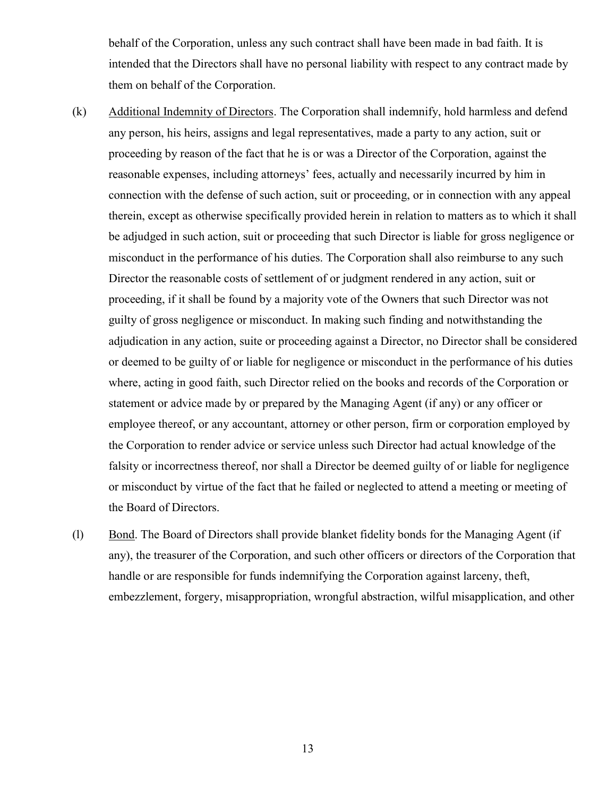behalf of the Corporation, unless any such contract shall have been made in bad faith. It is intended that the Directors shall have no personal liability with respect to any contract made by them on behalf of the Corporation.

- (k) Additional Indemnity of Directors. The Corporation shall indemnify, hold harmless and defend any person, his heirs, assigns and legal representatives, made a party to any action, suit or proceeding by reason of the fact that he is or was a Director of the Corporation, against the reasonable expenses, including attorneys' fees, actually and necessarily incurred by him in connection with the defense of such action, suit or proceeding, or in connection with any appeal therein, except as otherwise specifically provided herein in relation to matters as to which it shall be adjudged in such action, suit or proceeding that such Director is liable for gross negligence or misconduct in the performance of his duties. The Corporation shall also reimburse to any such Director the reasonable costs of settlement of or judgment rendered in any action, suit or proceeding, if it shall be found by a majority vote of the Owners that such Director was not guilty of gross negligence or misconduct. In making such finding and notwithstanding the adjudication in any action, suite or proceeding against a Director, no Director shall be considered or deemed to be guilty of or liable for negligence or misconduct in the performance of his duties where, acting in good faith, such Director relied on the books and records of the Corporation or statement or advice made by or prepared by the Managing Agent (if any) or any officer or employee thereof, or any accountant, attorney or other person, firm or corporation employed by the Corporation to render advice or service unless such Director had actual knowledge of the falsity or incorrectness thereof, nor shall a Director be deemed guilty of or liable for negligence or misconduct by virtue of the fact that he failed or neglected to attend a meeting or meeting of the Board of Directors.
- (l) Bond. The Board of Directors shall provide blanket fidelity bonds for the Managing Agent (if any), the treasurer of the Corporation, and such other officers or directors of the Corporation that handle or are responsible for funds indemnifying the Corporation against larceny, theft, embezzlement, forgery, misappropriation, wrongful abstraction, wilful misapplication, and other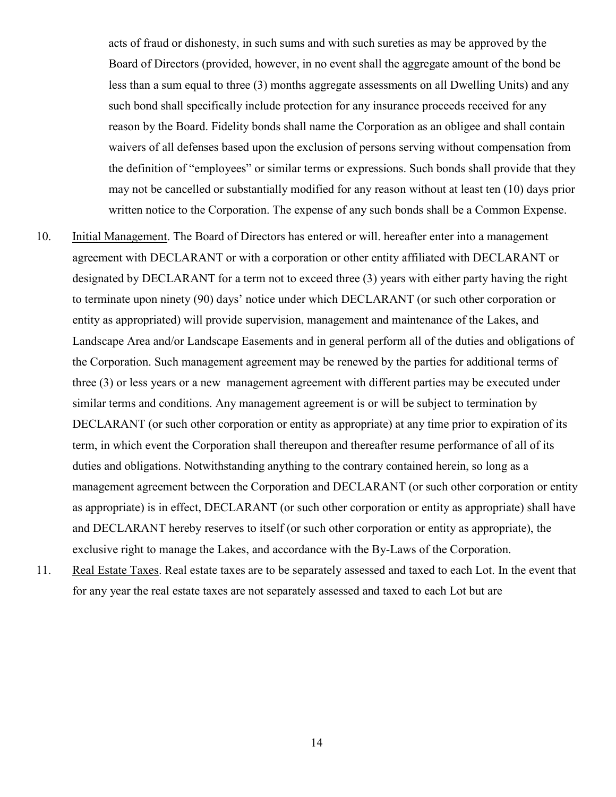acts of fraud or dishonesty, in such sums and with such sureties as may be approved by the Board of Directors (provided, however, in no event shall the aggregate amount of the bond be less than a sum equal to three (3) months aggregate assessments on all Dwelling Units) and any such bond shall specifically include protection for any insurance proceeds received for any reason by the Board. Fidelity bonds shall name the Corporation as an obligee and shall contain waivers of all defenses based upon the exclusion of persons serving without compensation from the definition of "employees" or similar terms or expressions. Such bonds shall provide that they may not be cancelled or substantially modified for any reason without at least ten (10) days prior written notice to the Corporation. The expense of any such bonds shall be a Common Expense.

- 10. Initial Management. The Board of Directors has entered or will. hereafter enter into a management agreement with DECLARANT or with a corporation or other entity affiliated with DECLARANT or designated by DECLARANT for a term not to exceed three (3) years with either party having the right to terminate upon ninety (90) days' notice under which DECLARANT (or such other corporation or entity as appropriated) will provide supervision, management and maintenance of the Lakes, and Landscape Area and/or Landscape Easements and in general perform all of the duties and obligations of the Corporation. Such management agreement may be renewed by the parties for additional terms of three (3) or less years or a new management agreement with different parties may be executed under similar terms and conditions. Any management agreement is or will be subject to termination by DECLARANT (or such other corporation or entity as appropriate) at any time prior to expiration of its term, in which event the Corporation shall thereupon and thereafter resume performance of all of its duties and obligations. Notwithstanding anything to the contrary contained herein, so long as a management agreement between the Corporation and DECLARANT (or such other corporation or entity as appropriate) is in effect, DECLARANT (or such other corporation or entity as appropriate) shall have and DECLARANT hereby reserves to itself (or such other corporation or entity as appropriate), the exclusive right to manage the Lakes, and accordance with the By-Laws of the Corporation.
- 11. Real Estate Taxes. Real estate taxes are to be separately assessed and taxed to each Lot. In the event that for any year the real estate taxes are not separately assessed and taxed to each Lot but are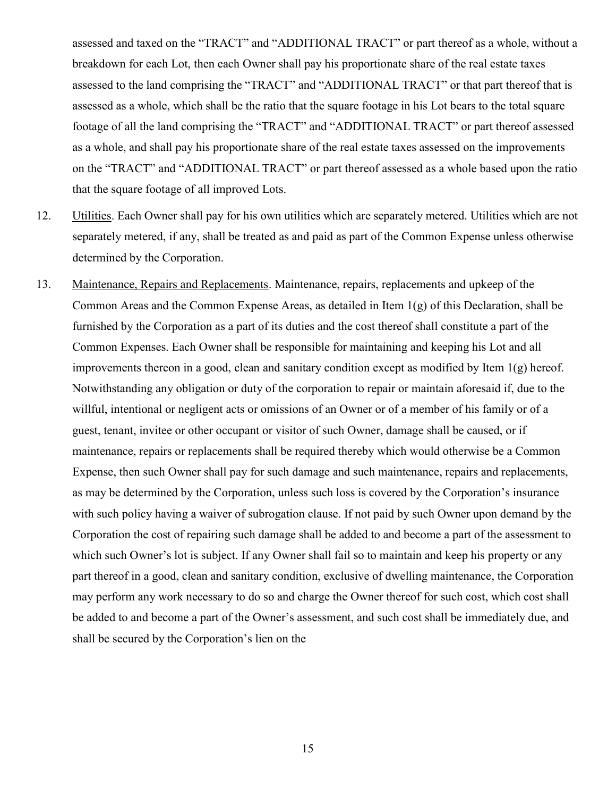assessed and taxed on the "TRACT" and "ADDITIONAL TRACT" or part thereof as a whole, without a breakdown for each Lot, then each Owner shall pay his proportionate share of the real estate taxes assessed to the land comprising the "TRACT" and "ADDITIONAL TRACT" or that part thereof that is assessed as a whole, which shall be the ratio that the square footage in his Lot bears to the total square footage of all the land comprising the "TRACT" and "ADDITIONAL TRACT" or part thereof assessed as a whole, and shall pay his proportionate share of the real estate taxes assessed on the improvements on the "TRACT" and "ADDITIONAL TRACT" or part thereof assessed as a whole based upon the ratio that the square footage of all improved Lots.

- 12. Utilities. Each Owner shall pay for his own utilities which are separately metered. Utilities which are not separately metered, if any, shall be treated as and paid as part of the Common Expense unless otherwise determined by the Corporation.
- 13. Maintenance, Repairs and Replacements. Maintenance, repairs, replacements and upkeep of the Common Areas and the Common Expense Areas, as detailed in Item 1(g) of this Declaration, shall be furnished by the Corporation as a part of its duties and the cost thereof shall constitute a part of the Common Expenses. Each Owner shall be responsible for maintaining and keeping his Lot and all improvements thereon in a good, clean and sanitary condition except as modified by Item 1(g) hereof. Notwithstanding any obligation or duty of the corporation to repair or maintain aforesaid if, due to the willful, intentional or negligent acts or omissions of an Owner or of a member of his family or of a guest, tenant, invitee or other occupant or visitor of such Owner, damage shall be caused, or if maintenance, repairs or replacements shall be required thereby which would otherwise be a Common Expense, then such Owner shall pay for such damage and such maintenance, repairs and replacements, as may be determined by the Corporation, unless such loss is covered by the Corporation's insurance with such policy having a waiver of subrogation clause. If not paid by such Owner upon demand by the Corporation the cost of repairing such damage shall be added to and become a part of the assessment to which such Owner's lot is subject. If any Owner shall fail so to maintain and keep his property or any part thereof in a good, clean and sanitary condition, exclusive of dwelling maintenance, the Corporation may perform any work necessary to do so and charge the Owner thereof for such cost, which cost shall be added to and become a part of the Owner's assessment, and such cost shall be immediately due, and shall be secured by the Corporation's lien on the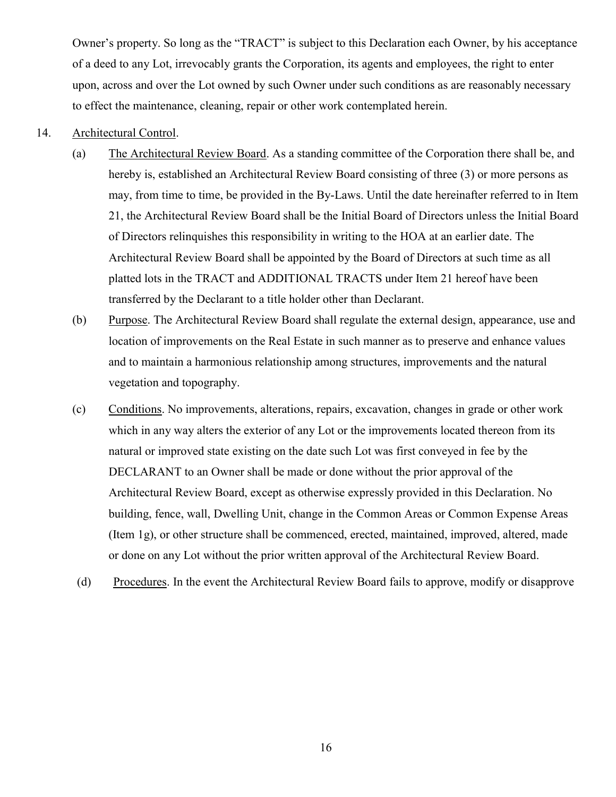Owner's property. So long as the "TRACT" is subject to this Declaration each Owner, by his acceptance of a deed to any Lot, irrevocably grants the Corporation, its agents and employees, the right to enter upon, across and over the Lot owned by such Owner under such conditions as are reasonably necessary to effect the maintenance, cleaning, repair or other work contemplated herein.

#### 14. Architectural Control.

- (a) The Architectural Review Board. As a standing committee of the Corporation there shall be, and hereby is, established an Architectural Review Board consisting of three (3) or more persons as may, from time to time, be provided in the By-Laws. Until the date hereinafter referred to in Item 21, the Architectural Review Board shall be the Initial Board of Directors unless the Initial Board of Directors relinquishes this responsibility in writing to the HOA at an earlier date. The Architectural Review Board shall be appointed by the Board of Directors at such time as all platted lots in the TRACT and ADDITIONAL TRACTS under Item 21 hereof have been transferred by the Declarant to a title holder other than Declarant.
- (b) Purpose. The Architectural Review Board shall regulate the external design, appearance, use and location of improvements on the Real Estate in such manner as to preserve and enhance values and to maintain a harmonious relationship among structures, improvements and the natural vegetation and topography.
- (c) Conditions. No improvements, alterations, repairs, excavation, changes in grade or other work which in any way alters the exterior of any Lot or the improvements located thereon from its natural or improved state existing on the date such Lot was first conveyed in fee by the DECLARANT to an Owner shall be made or done without the prior approval of the Architectural Review Board, except as otherwise expressly provided in this Declaration. No building, fence, wall, Dwelling Unit, change in the Common Areas or Common Expense Areas (Item 1g), or other structure shall be commenced, erected, maintained, improved, altered, made or done on any Lot without the prior written approval of the Architectural Review Board.
- (d) Procedures. In the event the Architectural Review Board fails to approve, modify or disapprove

16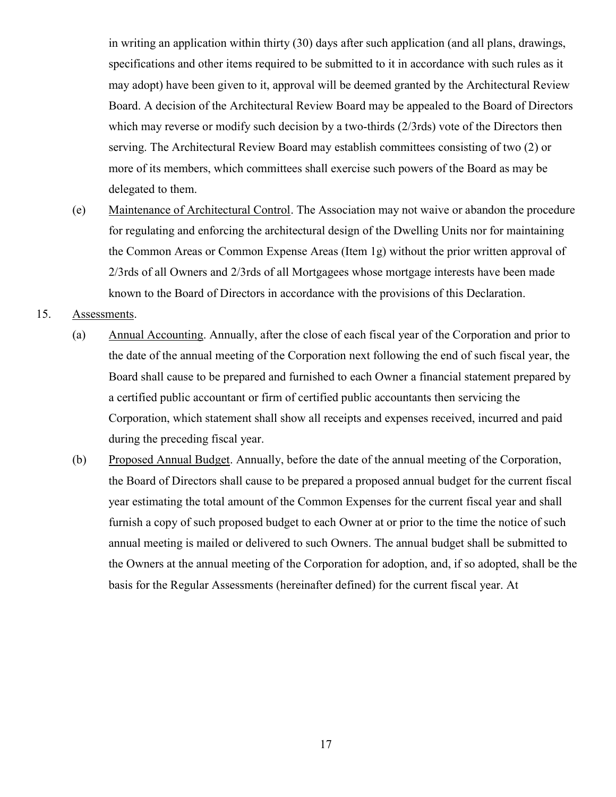in writing an application within thirty (30) days after such application (and all plans, drawings, specifications and other items required to be submitted to it in accordance with such rules as it may adopt) have been given to it, approval will be deemed granted by the Architectural Review Board. A decision of the Architectural Review Board may be appealed to the Board of Directors which may reverse or modify such decision by a two-thirds (2/3rds) vote of the Directors then serving. The Architectural Review Board may establish committees consisting of two (2) or more of its members, which committees shall exercise such powers of the Board as may be delegated to them.

(e) Maintenance of Architectural Control. The Association may not waive or abandon the procedure for regulating and enforcing the architectural design of the Dwelling Units nor for maintaining the Common Areas or Common Expense Areas (Item 1g) without the prior written approval of 2/3rds of all Owners and 2/3rds of all Mortgagees whose mortgage interests have been made known to the Board of Directors in accordance with the provisions of this Declaration.

15. Assessments.

- (a) Annual Accounting. Annually, after the close of each fiscal year of the Corporation and prior to the date of the annual meeting of the Corporation next following the end of such fiscal year, the Board shall cause to be prepared and furnished to each Owner a financial statement prepared by a certified public accountant or firm of certified public accountants then servicing the Corporation, which statement shall show all receipts and expenses received, incurred and paid during the preceding fiscal year.
- (b) Proposed Annual Budget. Annually, before the date of the annual meeting of the Corporation, the Board of Directors shall cause to be prepared a proposed annual budget for the current fiscal year estimating the total amount of the Common Expenses for the current fiscal year and shall furnish a copy of such proposed budget to each Owner at or prior to the time the notice of such annual meeting is mailed or delivered to such Owners. The annual budget shall be submitted to the Owners at the annual meeting of the Corporation for adoption, and, if so adopted, shall be the basis for the Regular Assessments (hereinafter defined) for the current fiscal year. At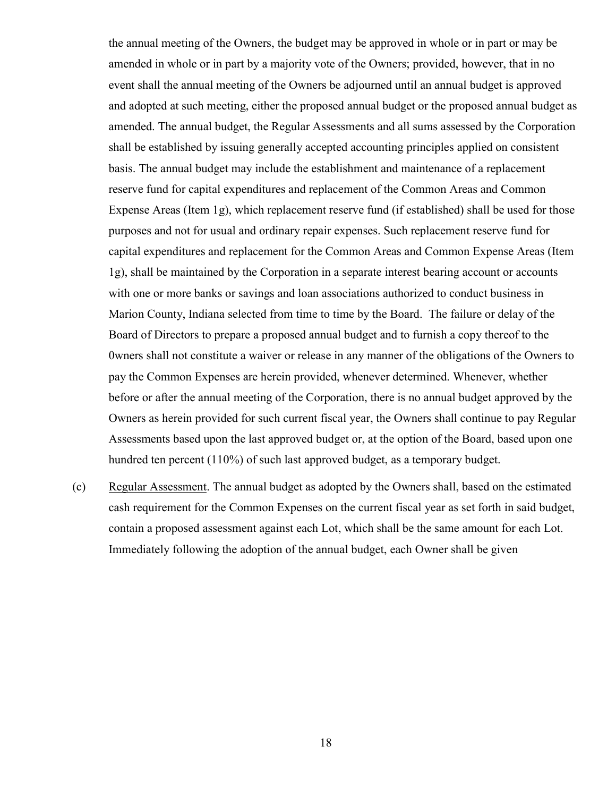the annual meeting of the Owners, the budget may be approved in whole or in part or may be amended in whole or in part by a majority vote of the Owners; provided, however, that in no event shall the annual meeting of the Owners be adjourned until an annual budget is approved and adopted at such meeting, either the proposed annual budget or the proposed annual budget as amended. The annual budget, the Regular Assessments and all sums assessed by the Corporation shall be established by issuing generally accepted accounting principles applied on consistent basis. The annual budget may include the establishment and maintenance of a replacement reserve fund for capital expenditures and replacement of the Common Areas and Common Expense Areas (Item 1g), which replacement reserve fund (if established) shall be used for those purposes and not for usual and ordinary repair expenses. Such replacement reserve fund for capital expenditures and replacement for the Common Areas and Common Expense Areas (Item 1g), shall be maintained by the Corporation in a separate interest bearing account or accounts with one or more banks or savings and loan associations authorized to conduct business in Marion County, Indiana selected from time to time by the Board. The failure or delay of the Board of Directors to prepare a proposed annual budget and to furnish a copy thereof to the 0wners shall not constitute a waiver or release in any manner of the obligations of the Owners to pay the Common Expenses are herein provided, whenever determined. Whenever, whether before or after the annual meeting of the Corporation, there is no annual budget approved by the Owners as herein provided for such current fiscal year, the Owners shall continue to pay Regular Assessments based upon the last approved budget or, at the option of the Board, based upon one hundred ten percent (110%) of such last approved budget, as a temporary budget.

(c) Regular Assessment. The annual budget as adopted by the Owners shall, based on the estimated cash requirement for the Common Expenses on the current fiscal year as set forth in said budget, contain a proposed assessment against each Lot, which shall be the same amount for each Lot. Immediately following the adoption of the annual budget, each Owner shall be given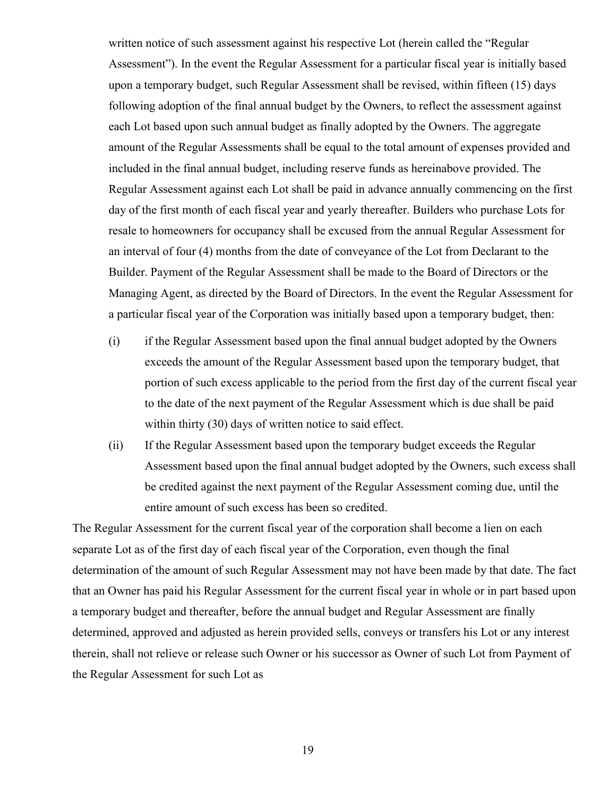written notice of such assessment against his respective Lot (herein called the "Regular Assessment"). In the event the Regular Assessment for a particular fiscal year is initially based upon a temporary budget, such Regular Assessment shall be revised, within fifteen (15) days following adoption of the final annual budget by the Owners, to reflect the assessment against each Lot based upon such annual budget as finally adopted by the Owners. The aggregate amount of the Regular Assessments shall be equal to the total amount of expenses provided and included in the final annual budget, including reserve funds as hereinabove provided. The Regular Assessment against each Lot shall be paid in advance annually commencing on the first day of the first month of each fiscal year and yearly thereafter. Builders who purchase Lots for resale to homeowners for occupancy shall be excused from the annual Regular Assessment for an interval of four (4) months from the date of conveyance of the Lot from Declarant to the Builder. Payment of the Regular Assessment shall be made to the Board of Directors or the Managing Agent, as directed by the Board of Directors. In the event the Regular Assessment for a particular fiscal year of the Corporation was initially based upon a temporary budget, then:

- (i) if the Regular Assessment based upon the final annual budget adopted by the Owners exceeds the amount of the Regular Assessment based upon the temporary budget, that portion of such excess applicable to the period from the first day of the current fiscal year to the date of the next payment of the Regular Assessment which is due shall be paid within thirty (30) days of written notice to said effect.
- (ii) If the Regular Assessment based upon the temporary budget exceeds the Regular Assessment based upon the final annual budget adopted by the Owners, such excess shall be credited against the next payment of the Regular Assessment coming due, until the entire amount of such excess has been so credited.

The Regular Assessment for the current fiscal year of the corporation shall become a lien on each separate Lot as of the first day of each fiscal year of the Corporation, even though the final determination of the amount of such Regular Assessment may not have been made by that date. The fact that an Owner has paid his Regular Assessment for the current fiscal year in whole or in part based upon a temporary budget and thereafter, before the annual budget and Regular Assessment are finally determined, approved and adjusted as herein provided sells, conveys or transfers his Lot or any interest therein, shall not relieve or release such Owner or his successor as Owner of such Lot from Payment of the Regular Assessment for such Lot as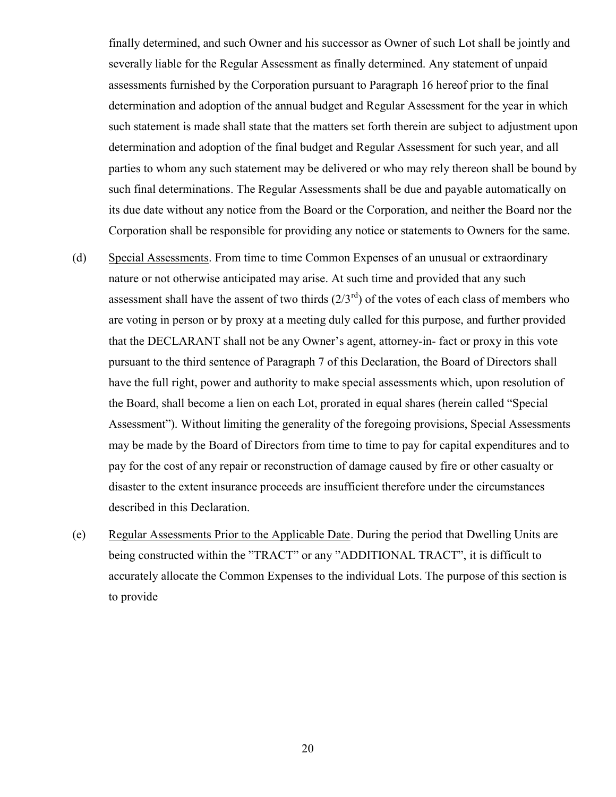finally determined, and such Owner and his successor as Owner of such Lot shall be jointly and severally liable for the Regular Assessment as finally determined. Any statement of unpaid assessments furnished by the Corporation pursuant to Paragraph 16 hereof prior to the final determination and adoption of the annual budget and Regular Assessment for the year in which such statement is made shall state that the matters set forth therein are subject to adjustment upon determination and adoption of the final budget and Regular Assessment for such year, and all parties to whom any such statement may be delivered or who may rely thereon shall be bound by such final determinations. The Regular Assessments shall be due and payable automatically on its due date without any notice from the Board or the Corporation, and neither the Board nor the Corporation shall be responsible for providing any notice or statements to Owners for the same.

- (d) Special Assessments. From time to time Common Expenses of an unusual or extraordinary nature or not otherwise anticipated may arise. At such time and provided that any such assessment shall have the assent of two thirds  $(2/3<sup>rd</sup>)$  of the votes of each class of members who are voting in person or by proxy at a meeting duly called for this purpose, and further provided that the DECLARANT shall not be any Owner's agent, attorney-in- fact or proxy in this vote pursuant to the third sentence of Paragraph 7 of this Declaration, the Board of Directors shall have the full right, power and authority to make special assessments which, upon resolution of the Board, shall become a lien on each Lot, prorated in equal shares (herein called "Special Assessment"). Without limiting the generality of the foregoing provisions, Special Assessments may be made by the Board of Directors from time to time to pay for capital expenditures and to pay for the cost of any repair or reconstruction of damage caused by fire or other casualty or disaster to the extent insurance proceeds are insufficient therefore under the circumstances described in this Declaration.
- (e) Regular Assessments Prior to the Applicable Date. During the period that Dwelling Units are being constructed within the "TRACT" or any "ADDITIONAL TRACT", it is difficult to accurately allocate the Common Expenses to the individual Lots. The purpose of this section is to provide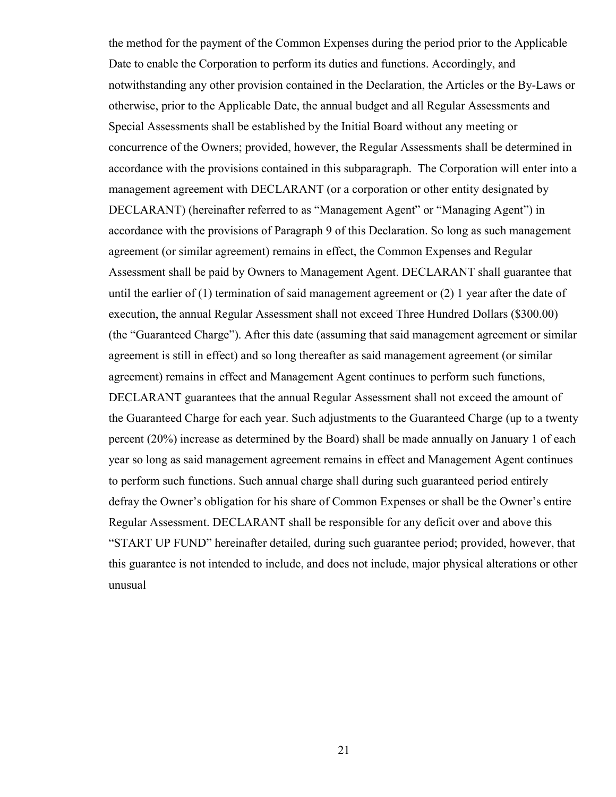the method for the payment of the Common Expenses during the period prior to the Applicable Date to enable the Corporation to perform its duties and functions. Accordingly, and notwithstanding any other provision contained in the Declaration, the Articles or the By-Laws or otherwise, prior to the Applicable Date, the annual budget and all Regular Assessments and Special Assessments shall be established by the Initial Board without any meeting or concurrence of the Owners; provided, however, the Regular Assessments shall be determined in accordance with the provisions contained in this subparagraph. The Corporation will enter into a management agreement with DECLARANT (or a corporation or other entity designated by DECLARANT) (hereinafter referred to as "Management Agent" or "Managing Agent") in accordance with the provisions of Paragraph 9 of this Declaration. So long as such management agreement (or similar agreement) remains in effect, the Common Expenses and Regular Assessment shall be paid by Owners to Management Agent. DECLARANT shall guarantee that until the earlier of (1) termination of said management agreement or (2) 1 year after the date of execution, the annual Regular Assessment shall not exceed Three Hundred Dollars (\$300.00) (the "Guaranteed Charge"). After this date (assuming that said management agreement or similar agreement is still in effect) and so long thereafter as said management agreement (or similar agreement) remains in effect and Management Agent continues to perform such functions, DECLARANT guarantees that the annual Regular Assessment shall not exceed the amount of the Guaranteed Charge for each year. Such adjustments to the Guaranteed Charge (up to a twenty percent (20%) increase as determined by the Board) shall be made annually on January 1 of each year so long as said management agreement remains in effect and Management Agent continues to perform such functions. Such annual charge shall during such guaranteed period entirely defray the Owner's obligation for his share of Common Expenses or shall be the Owner's entire Regular Assessment. DECLARANT shall be responsible for any deficit over and above this "START UP FUND" hereinafter detailed, during such guarantee period; provided, however, that this guarantee is not intended to include, and does not include, major physical alterations or other unusual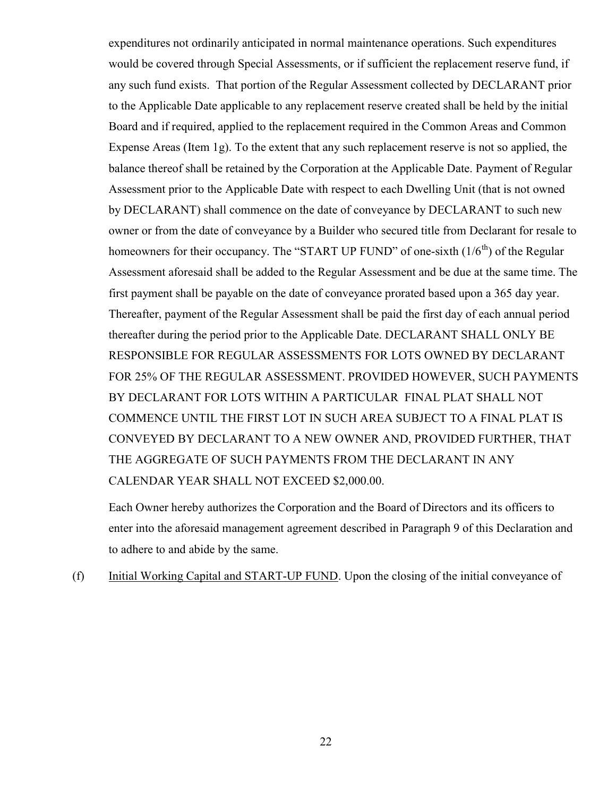expenditures not ordinarily anticipated in normal maintenance operations. Such expenditures would be covered through Special Assessments, or if sufficient the replacement reserve fund, if any such fund exists. That portion of the Regular Assessment collected by DECLARANT prior to the Applicable Date applicable to any replacement reserve created shall be held by the initial Board and if required, applied to the replacement required in the Common Areas and Common Expense Areas (Item 1g). To the extent that any such replacement reserve is not so applied, the balance thereof shall be retained by the Corporation at the Applicable Date. Payment of Regular Assessment prior to the Applicable Date with respect to each Dwelling Unit (that is not owned by DECLARANT) shall commence on the date of conveyance by DECLARANT to such new owner or from the date of conveyance by a Builder who secured title from Declarant for resale to homeowners for their occupancy. The "START UP FUND" of one-sixth  $(1/6<sup>th</sup>)$  of the Regular Assessment aforesaid shall be added to the Regular Assessment and be due at the same time. The first payment shall be payable on the date of conveyance prorated based upon a 365 day year. Thereafter, payment of the Regular Assessment shall be paid the first day of each annual period thereafter during the period prior to the Applicable Date. DECLARANT SHALL ONLY BE RESPONSIBLE FOR REGULAR ASSESSMENTS FOR LOTS OWNED BY DECLARANT FOR 25% OF THE REGULAR ASSESSMENT. PROVIDED HOWEVER, SUCH PAYMENTS BY DECLARANT FOR LOTS WITHIN A PARTICULAR FINAL PLAT SHALL NOT COMMENCE UNTIL THE FIRST LOT IN SUCH AREA SUBJECT TO A FINAL PLAT IS CONVEYED BY DECLARANT TO A NEW OWNER AND, PROVIDED FURTHER, THAT THE AGGREGATE OF SUCH PAYMENTS FROM THE DECLARANT IN ANY CALENDAR YEAR SHALL NOT EXCEED \$2,000.00.

Each Owner hereby authorizes the Corporation and the Board of Directors and its officers to enter into the aforesaid management agreement described in Paragraph 9 of this Declaration and to adhere to and abide by the same.

(f) Initial Working Capital and START-UP FUND. Upon the closing of the initial conveyance of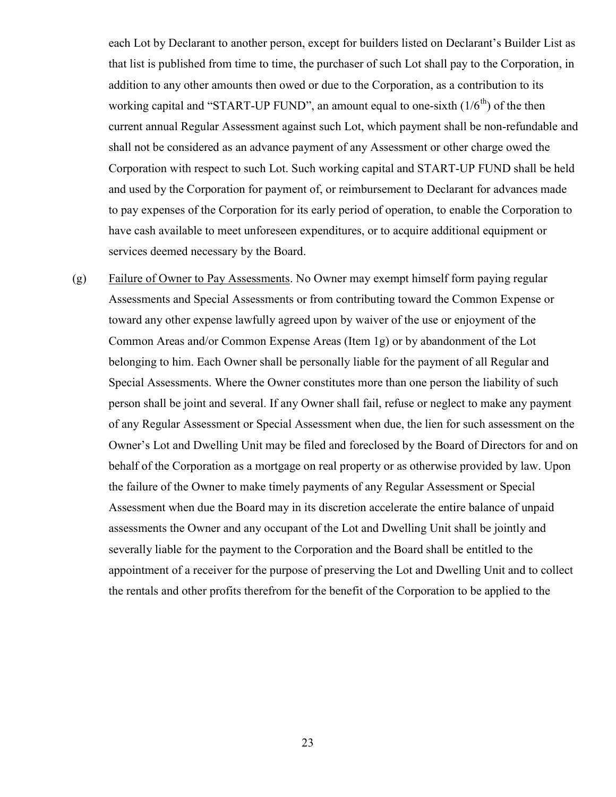each Lot by Declarant to another person, except for builders listed on Declarant's Builder List as that list is published from time to time, the purchaser of such Lot shall pay to the Corporation, in addition to any other amounts then owed or due to the Corporation, as a contribution to its working capital and "START-UP FUND", an amount equal to one-sixth  $(1/6<sup>th</sup>)$  of the then current annual Regular Assessment against such Lot, which payment shall be non-refundable and shall not be considered as an advance payment of any Assessment or other charge owed the Corporation with respect to such Lot. Such working capital and START-UP FUND shall be held and used by the Corporation for payment of, or reimbursement to Declarant for advances made to pay expenses of the Corporation for its early period of operation, to enable the Corporation to have cash available to meet unforeseen expenditures, or to acquire additional equipment or services deemed necessary by the Board.

(g) Failure of Owner to Pay Assessments. No Owner may exempt himself form paying regular Assessments and Special Assessments or from contributing toward the Common Expense or toward any other expense lawfully agreed upon by waiver of the use or enjoyment of the Common Areas and/or Common Expense Areas (Item 1g) or by abandonment of the Lot belonging to him. Each Owner shall be personally liable for the payment of all Regular and Special Assessments. Where the Owner constitutes more than one person the liability of such person shall be joint and several. If any Owner shall fail, refuse or neglect to make any payment of any Regular Assessment or Special Assessment when due, the lien for such assessment on the Owner's Lot and Dwelling Unit may be filed and foreclosed by the Board of Directors for and on behalf of the Corporation as a mortgage on real property or as otherwise provided by law. Upon the failure of the Owner to make timely payments of any Regular Assessment or Special Assessment when due the Board may in its discretion accelerate the entire balance of unpaid assessments the Owner and any occupant of the Lot and Dwelling Unit shall be jointly and severally liable for the payment to the Corporation and the Board shall be entitled to the appointment of a receiver for the purpose of preserving the Lot and Dwelling Unit and to collect the rentals and other profits therefrom for the benefit of the Corporation to be applied to the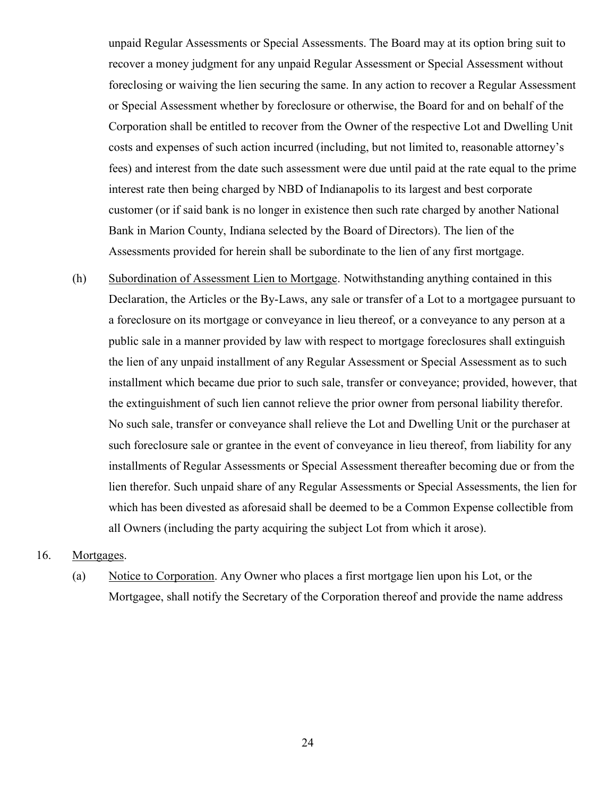unpaid Regular Assessments or Special Assessments. The Board may at its option bring suit to recover a money judgment for any unpaid Regular Assessment or Special Assessment without foreclosing or waiving the lien securing the same. In any action to recover a Regular Assessment or Special Assessment whether by foreclosure or otherwise, the Board for and on behalf of the Corporation shall be entitled to recover from the Owner of the respective Lot and Dwelling Unit costs and expenses of such action incurred (including, but not limited to, reasonable attorney's fees) and interest from the date such assessment were due until paid at the rate equal to the prime interest rate then being charged by NBD of Indianapolis to its largest and best corporate customer (or if said bank is no longer in existence then such rate charged by another National Bank in Marion County, Indiana selected by the Board of Directors). The lien of the Assessments provided for herein shall be subordinate to the lien of any first mortgage.

(h) Subordination of Assessment Lien to Mortgage. Notwithstanding anything contained in this Declaration, the Articles or the By-Laws, any sale or transfer of a Lot to a mortgagee pursuant to a foreclosure on its mortgage or conveyance in lieu thereof, or a conveyance to any person at a public sale in a manner provided by law with respect to mortgage foreclosures shall extinguish the lien of any unpaid installment of any Regular Assessment or Special Assessment as to such installment which became due prior to such sale, transfer or conveyance; provided, however, that the extinguishment of such lien cannot relieve the prior owner from personal liability therefor. No such sale, transfer or conveyance shall relieve the Lot and Dwelling Unit or the purchaser at such foreclosure sale or grantee in the event of conveyance in lieu thereof, from liability for any installments of Regular Assessments or Special Assessment thereafter becoming due or from the lien therefor. Such unpaid share of any Regular Assessments or Special Assessments, the lien for which has been divested as aforesaid shall be deemed to be a Common Expense collectible from all Owners (including the party acquiring the subject Lot from which it arose).

## 16. Mortgages.

(a) Notice to Corporation. Any Owner who places a first mortgage lien upon his Lot, or the Mortgagee, shall notify the Secretary of the Corporation thereof and provide the name address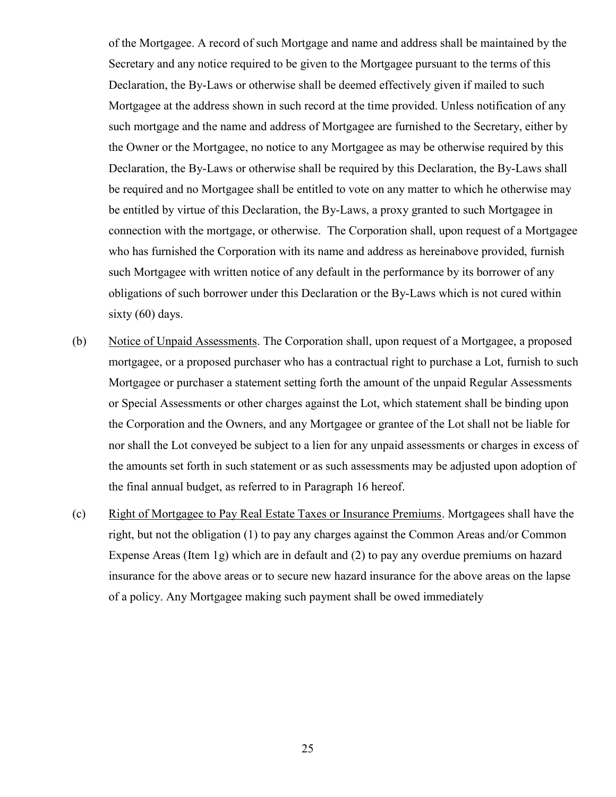of the Mortgagee. A record of such Mortgage and name and address shall be maintained by the Secretary and any notice required to be given to the Mortgagee pursuant to the terms of this Declaration, the By-Laws or otherwise shall be deemed effectively given if mailed to such Mortgagee at the address shown in such record at the time provided. Unless notification of any such mortgage and the name and address of Mortgagee are furnished to the Secretary, either by the Owner or the Mortgagee, no notice to any Mortgagee as may be otherwise required by this Declaration, the By-Laws or otherwise shall be required by this Declaration, the By-Laws shall be required and no Mortgagee shall be entitled to vote on any matter to which he otherwise may be entitled by virtue of this Declaration, the By-Laws, a proxy granted to such Mortgagee in connection with the mortgage, or otherwise. The Corporation shall, upon request of a Mortgagee who has furnished the Corporation with its name and address as hereinabove provided, furnish such Mortgagee with written notice of any default in the performance by its borrower of any obligations of such borrower under this Declaration or the By-Laws which is not cured within sixty (60) days.

- (b) Notice of Unpaid Assessments. The Corporation shall, upon request of a Mortgagee, a proposed mortgagee, or a proposed purchaser who has a contractual right to purchase a Lot, furnish to such Mortgagee or purchaser a statement setting forth the amount of the unpaid Regular Assessments or Special Assessments or other charges against the Lot, which statement shall be binding upon the Corporation and the Owners, and any Mortgagee or grantee of the Lot shall not be liable for nor shall the Lot conveyed be subject to a lien for any unpaid assessments or charges in excess of the amounts set forth in such statement or as such assessments may be adjusted upon adoption of the final annual budget, as referred to in Paragraph 16 hereof.
- (c) Right of Mortgagee to Pay Real Estate Taxes or Insurance Premiums. Mortgagees shall have the right, but not the obligation (1) to pay any charges against the Common Areas and/or Common Expense Areas (Item 1g) which are in default and (2) to pay any overdue premiums on hazard insurance for the above areas or to secure new hazard insurance for the above areas on the lapse of a policy. Any Mortgagee making such payment shall be owed immediately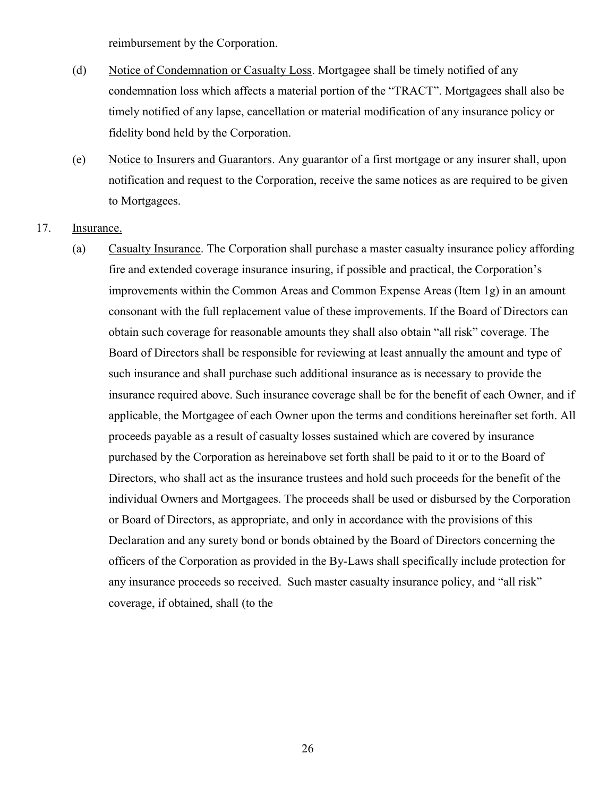reimbursement by the Corporation.

- (d) Notice of Condemnation or Casualty Loss. Mortgagee shall be timely notified of any condemnation loss which affects a material portion of the "TRACT". Mortgagees shall also be timely notified of any lapse, cancellation or material modification of any insurance policy or fidelity bond held by the Corporation.
- (e) Notice to Insurers and Guarantors. Any guarantor of a first mortgage or any insurer shall, upon notification and request to the Corporation, receive the same notices as are required to be given to Mortgagees.
- 17. Insurance.
	- (a) Casualty Insurance. The Corporation shall purchase a master casualty insurance policy affording fire and extended coverage insurance insuring, if possible and practical, the Corporation's improvements within the Common Areas and Common Expense Areas (Item 1g) in an amount consonant with the full replacement value of these improvements. If the Board of Directors can obtain such coverage for reasonable amounts they shall also obtain "all risk" coverage. The Board of Directors shall be responsible for reviewing at least annually the amount and type of such insurance and shall purchase such additional insurance as is necessary to provide the insurance required above. Such insurance coverage shall be for the benefit of each Owner, and if applicable, the Mortgagee of each Owner upon the terms and conditions hereinafter set forth. All proceeds payable as a result of casualty losses sustained which are covered by insurance purchased by the Corporation as hereinabove set forth shall be paid to it or to the Board of Directors, who shall act as the insurance trustees and hold such proceeds for the benefit of the individual Owners and Mortgagees. The proceeds shall be used or disbursed by the Corporation or Board of Directors, as appropriate, and only in accordance with the provisions of this Declaration and any surety bond or bonds obtained by the Board of Directors concerning the officers of the Corporation as provided in the By-Laws shall specifically include protection for any insurance proceeds so received. Such master casualty insurance policy, and "all risk" coverage, if obtained, shall (to the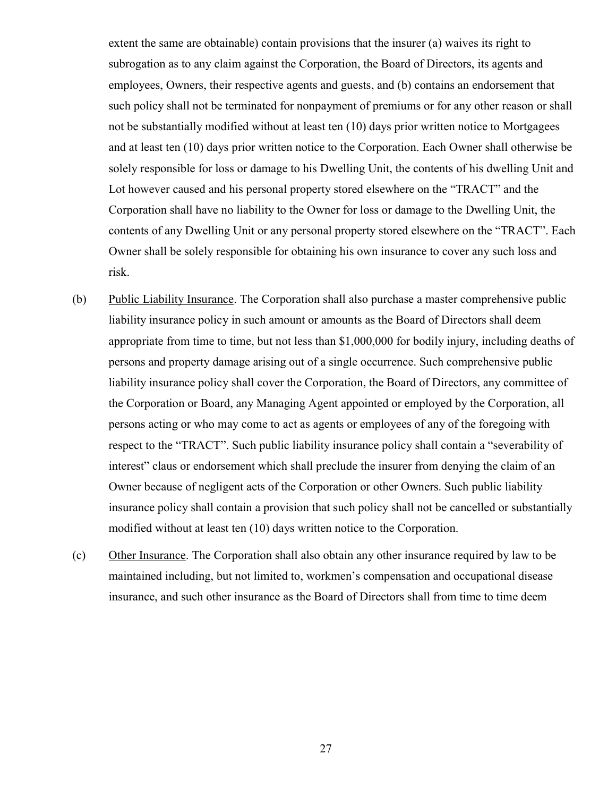extent the same are obtainable) contain provisions that the insurer (a) waives its right to subrogation as to any claim against the Corporation, the Board of Directors, its agents and employees, Owners, their respective agents and guests, and (b) contains an endorsement that such policy shall not be terminated for nonpayment of premiums or for any other reason or shall not be substantially modified without at least ten (10) days prior written notice to Mortgagees and at least ten (10) days prior written notice to the Corporation. Each Owner shall otherwise be solely responsible for loss or damage to his Dwelling Unit, the contents of his dwelling Unit and Lot however caused and his personal property stored elsewhere on the "TRACT" and the Corporation shall have no liability to the Owner for loss or damage to the Dwelling Unit, the contents of any Dwelling Unit or any personal property stored elsewhere on the "TRACT". Each Owner shall be solely responsible for obtaining his own insurance to cover any such loss and risk.

- (b) Public Liability Insurance. The Corporation shall also purchase a master comprehensive public liability insurance policy in such amount or amounts as the Board of Directors shall deem appropriate from time to time, but not less than \$1,000,000 for bodily injury, including deaths of persons and property damage arising out of a single occurrence. Such comprehensive public liability insurance policy shall cover the Corporation, the Board of Directors, any committee of the Corporation or Board, any Managing Agent appointed or employed by the Corporation, all persons acting or who may come to act as agents or employees of any of the foregoing with respect to the "TRACT". Such public liability insurance policy shall contain a "severability of interest" claus or endorsement which shall preclude the insurer from denying the claim of an Owner because of negligent acts of the Corporation or other Owners. Such public liability insurance policy shall contain a provision that such policy shall not be cancelled or substantially modified without at least ten (10) days written notice to the Corporation.
- (c) Other Insurance. The Corporation shall also obtain any other insurance required by law to be maintained including, but not limited to, workmen's compensation and occupational disease insurance, and such other insurance as the Board of Directors shall from time to time deem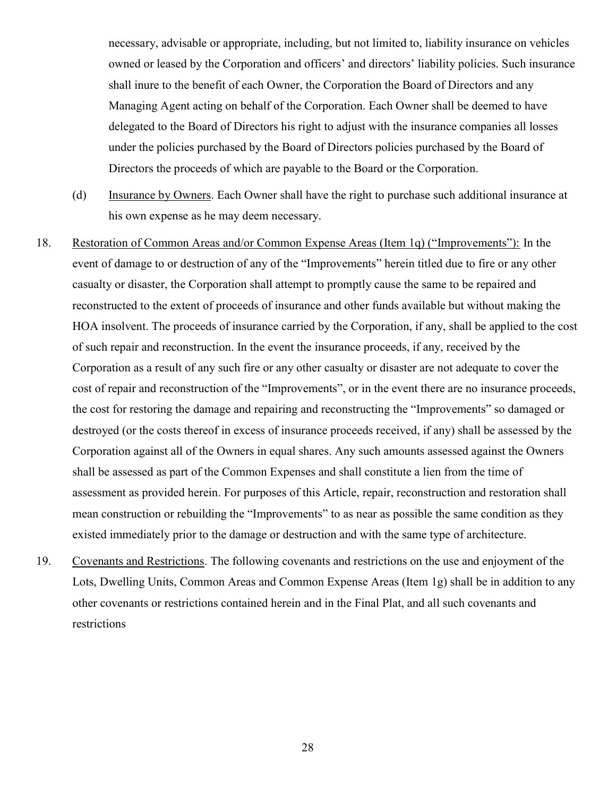necessary, advisable or appropriate, including, but not limited to, liability insurance on vehicles owned or leased by the Corporation and officers' and directors' liability policies. Such insurance shall inure to the benefit of each Owner, the Corporation the Board of Directors and any Managing Agent acting on behalf of the Corporation. Each Owner shall be deemed to have delegated to the Board of Directors his right to adjust with the insurance companies all losses under the policies purchased by the Board of Directors policies purchased by the Board of Directors the proceeds of which are payable to the Board or the Corporation.

- (d) Insurance by Owners. Each Owner shall have the right to purchase such additional insurance at his own expense as he may deem necessary.
- 18. Restoration of Common Areas and/or Common Expense Areas (Item 1q) ("Improvements"): In the event of damage to or destruction of any of the "Improvements" herein titled due to fire or any other casualty or disaster, the Corporation shall attempt to promptly cause the same to be repaired and reconstructed to the extent of proceeds of insurance and other funds available but without making the HOA insolvent. The proceeds of insurance carried by the Corporation, if any, shall be applied to the cost of such repair and reconstruction. In the event the insurance proceeds, if any, received by the Corporation as a result of any such fire or any other casualty or disaster are not adequate to cover the cost of repair and reconstruction of the "Improvements", or in the event there are no insurance proceeds, the cost for restoring the damage and repairing and reconstructing the "Improvements" so damaged or destroyed (or the costs thereof in excess of insurance proceeds received, if any) shall be assessed by the Corporation against all of the Owners in equal shares. Any such amounts assessed against the Owners shall be assessed as part of the Common Expenses and shall constitute a lien from the time of assessment as provided herein. For purposes of this Article, repair, reconstruction and restoration shall mean construction or rebuilding the "Improvements" to as near as possible the same condition as they existed immediately prior to the damage or destruction and with the same type of architecture.
- 19. Covenants and Restrictions. The following covenants and restrictions on the use and enjoyment of the Lots, Dwelling Units, Common Areas and Common Expense Areas (Item 1g) shall be in addition to any other covenants or restrictions contained herein and in the Final Plat, and all such covenants and restrictions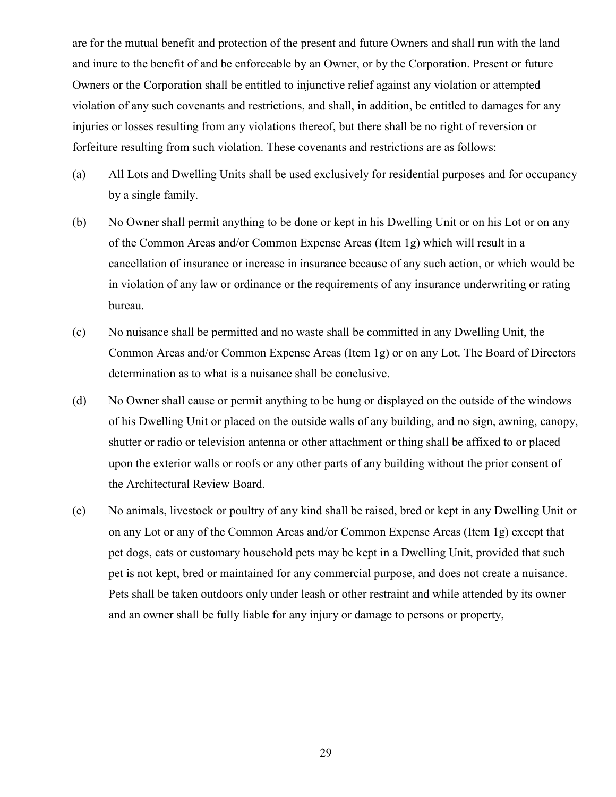are for the mutual benefit and protection of the present and future Owners and shall run with the land and inure to the benefit of and be enforceable by an Owner, or by the Corporation. Present or future Owners or the Corporation shall be entitled to injunctive relief against any violation or attempted violation of any such covenants and restrictions, and shall, in addition, be entitled to damages for any injuries or losses resulting from any violations thereof, but there shall be no right of reversion or forfeiture resulting from such violation. These covenants and restrictions are as follows:

- (a) All Lots and Dwelling Units shall be used exclusively for residential purposes and for occupancy by a single family.
- (b) No Owner shall permit anything to be done or kept in his Dwelling Unit or on his Lot or on any of the Common Areas and/or Common Expense Areas (Item 1g) which will result in a cancellation of insurance or increase in insurance because of any such action, or which would be in violation of any law or ordinance or the requirements of any insurance underwriting or rating bureau.
- (c) No nuisance shall be permitted and no waste shall be committed in any Dwelling Unit, the Common Areas and/or Common Expense Areas (Item 1g) or on any Lot. The Board of Directors determination as to what is a nuisance shall be conclusive.
- (d) No Owner shall cause or permit anything to be hung or displayed on the outside of the windows of his Dwelling Unit or placed on the outside walls of any building, and no sign, awning, canopy, shutter or radio or television antenna or other attachment or thing shall be affixed to or placed upon the exterior walls or roofs or any other parts of any building without the prior consent of the Architectural Review Board.
- (e) No animals, livestock or poultry of any kind shall be raised, bred or kept in any Dwelling Unit or on any Lot or any of the Common Areas and/or Common Expense Areas (Item 1g) except that pet dogs, cats or customary household pets may be kept in a Dwelling Unit, provided that such pet is not kept, bred or maintained for any commercial purpose, and does not create a nuisance. Pets shall be taken outdoors only under leash or other restraint and while attended by its owner and an owner shall be fully liable for any injury or damage to persons or property,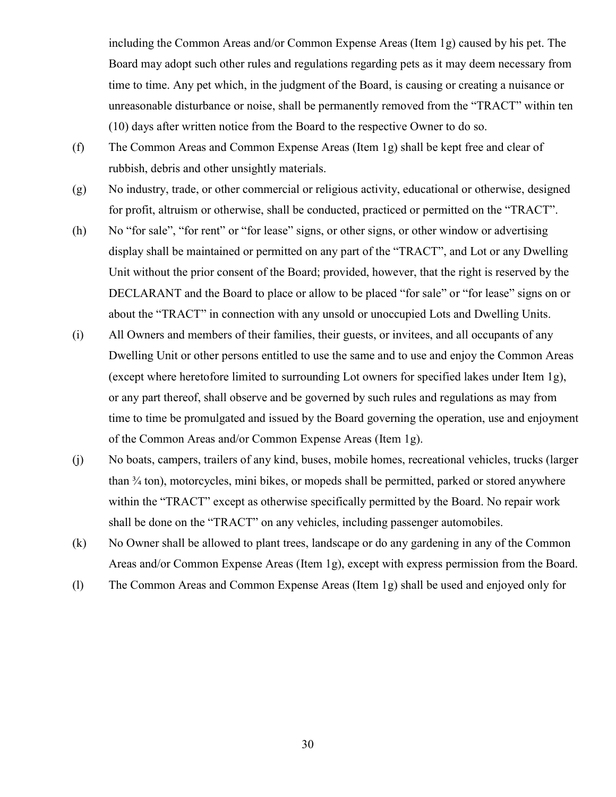including the Common Areas and/or Common Expense Areas (Item 1g) caused by his pet. The Board may adopt such other rules and regulations regarding pets as it may deem necessary from time to time. Any pet which, in the judgment of the Board, is causing or creating a nuisance or unreasonable disturbance or noise, shall be permanently removed from the "TRACT" within ten (10) days after written notice from the Board to the respective Owner to do so.

- (f) The Common Areas and Common Expense Areas (Item 1g) shall be kept free and clear of rubbish, debris and other unsightly materials.
- (g) No industry, trade, or other commercial or religious activity, educational or otherwise, designed for profit, altruism or otherwise, shall be conducted, practiced or permitted on the "TRACT".
- (h) No "for sale", "for rent" or "for lease" signs, or other signs, or other window or advertising display shall be maintained or permitted on any part of the "TRACT", and Lot or any Dwelling Unit without the prior consent of the Board; provided, however, that the right is reserved by the DECLARANT and the Board to place or allow to be placed "for sale" or "for lease" signs on or about the "TRACT" in connection with any unsold or unoccupied Lots and Dwelling Units.
- (i) All Owners and members of their families, their guests, or invitees, and all occupants of any Dwelling Unit or other persons entitled to use the same and to use and enjoy the Common Areas (except where heretofore limited to surrounding Lot owners for specified lakes under Item 1g), or any part thereof, shall observe and be governed by such rules and regulations as may from time to time be promulgated and issued by the Board governing the operation, use and enjoyment of the Common Areas and/or Common Expense Areas (Item 1g).
- (j) No boats, campers, trailers of any kind, buses, mobile homes, recreational vehicles, trucks (larger than ¾ ton), motorcycles, mini bikes, or mopeds shall be permitted, parked or stored anywhere within the "TRACT" except as otherwise specifically permitted by the Board. No repair work shall be done on the "TRACT" on any vehicles, including passenger automobiles.
- (k) No Owner shall be allowed to plant trees, landscape or do any gardening in any of the Common Areas and/or Common Expense Areas (Item 1g), except with express permission from the Board.
- (l) The Common Areas and Common Expense Areas (Item 1g) shall be used and enjoyed only for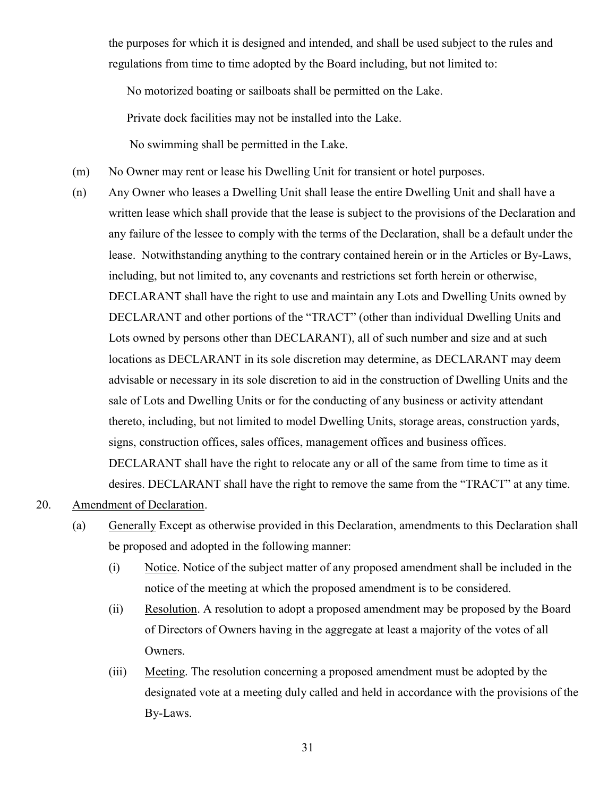the purposes for which it is designed and intended, and shall be used subject to the rules and regulations from time to time adopted by the Board including, but not limited to:

No motorized boating or sailboats shall be permitted on the Lake.

Private dock facilities may not be installed into the Lake.

No swimming shall be permitted in the Lake.

- (m) No Owner may rent or lease his Dwelling Unit for transient or hotel purposes.
- (n) Any Owner who leases a Dwelling Unit shall lease the entire Dwelling Unit and shall have a written lease which shall provide that the lease is subject to the provisions of the Declaration and any failure of the lessee to comply with the terms of the Declaration, shall be a default under the lease. Notwithstanding anything to the contrary contained herein or in the Articles or By-Laws, including, but not limited to, any covenants and restrictions set forth herein or otherwise, DECLARANT shall have the right to use and maintain any Lots and Dwelling Units owned by DECLARANT and other portions of the "TRACT" (other than individual Dwelling Units and Lots owned by persons other than DECLARANT), all of such number and size and at such locations as DECLARANT in its sole discretion may determine, as DECLARANT may deem advisable or necessary in its sole discretion to aid in the construction of Dwelling Units and the sale of Lots and Dwelling Units or for the conducting of any business or activity attendant thereto, including, but not limited to model Dwelling Units, storage areas, construction yards, signs, construction offices, sales offices, management offices and business offices. DECLARANT shall have the right to relocate any or all of the same from time to time as it desires. DECLARANT shall have the right to remove the same from the "TRACT" at any time.

## 20. Amendment of Declaration.

- (a) Generally Except as otherwise provided in this Declaration, amendments to this Declaration shall be proposed and adopted in the following manner:
	- (i) Notice. Notice of the subject matter of any proposed amendment shall be included in the notice of the meeting at which the proposed amendment is to be considered.
	- (ii) Resolution. A resolution to adopt a proposed amendment may be proposed by the Board of Directors of Owners having in the aggregate at least a majority of the votes of all Owners.
	- (iii) Meeting. The resolution concerning a proposed amendment must be adopted by the designated vote at a meeting duly called and held in accordance with the provisions of the By-Laws.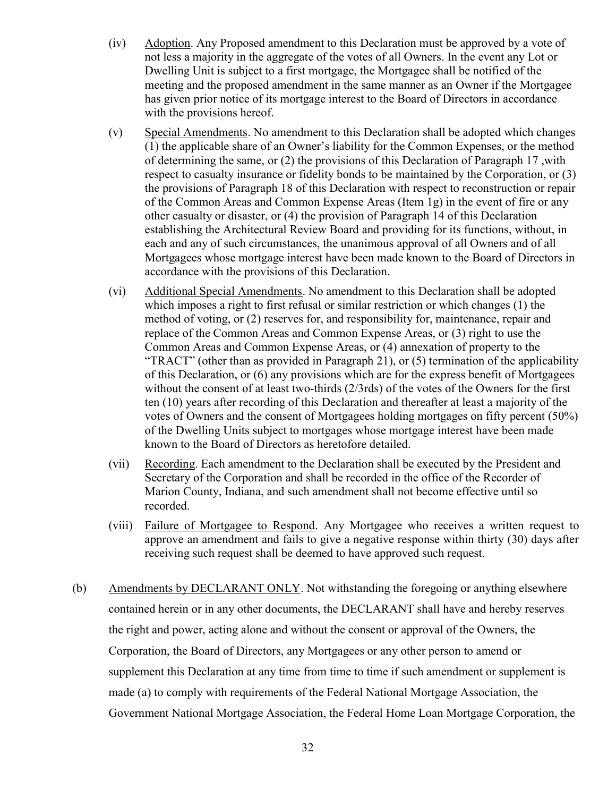- (iv) Adoption. Any Proposed amendment to this Declaration must be approved by a vote of not less a majority in the aggregate of the votes of all Owners. In the event any Lot or Dwelling Unit is subject to a first mortgage, the Mortgagee shall be notified of the meeting and the proposed amendment in the same manner as an Owner if the Mortgagee has given prior notice of its mortgage interest to the Board of Directors in accordance with the provisions hereof.
- (v) Special Amendments. No amendment to this Declaration shall be adopted which changes (1) the applicable share of an Owner's liability for the Common Expenses, or the method of determining the same, or (2) the provisions of this Declaration of Paragraph 17 ,with respect to casualty insurance or fidelity bonds to be maintained by the Corporation, or (3) the provisions of Paragraph 18 of this Declaration with respect to reconstruction or repair of the Common Areas and Common Expense Areas (Item 1g) in the event of fire or any other casualty or disaster, or (4) the provision of Paragraph 14 of this Declaration establishing the Architectural Review Board and providing for its functions, without, in each and any of such circumstances, the unanimous approval of all Owners and of all Mortgagees whose mortgage interest have been made known to the Board of Directors in accordance with the provisions of this Declaration.
- (vi) Additional Special Amendments. No amendment to this Declaration shall be adopted which imposes a right to first refusal or similar restriction or which changes (1) the method of voting, or (2) reserves for, and responsibility for, maintenance, repair and replace of the Common Areas and Common Expense Areas, or (3) right to use the Common Areas and Common Expense Areas, or (4) annexation of property to the "TRACT" (other than as provided in Paragraph 21), or (5) termination of the applicability of this Declaration, or (6) any provisions which are for the express benefit of Mortgagees without the consent of at least two-thirds (2/3rds) of the votes of the Owners for the first ten (10) years after recording of this Declaration and thereafter at least a majority of the votes of Owners and the consent of Mortgagees holding mortgages on fifty percent (50%) of the Dwelling Units subject to mortgages whose mortgage interest have been made known to the Board of Directors as heretofore detailed.
- (vii) Recording. Each amendment to the Declaration shall be executed by the President and Secretary of the Corporation and shall be recorded in the office of the Recorder of Marion County, Indiana, and such amendment shall not become effective until so recorded.
- (viii) Failure of Mortgagee to Respond. Any Mortgagee who receives a written request to approve an amendment and fails to give a negative response within thirty (30) days after receiving such request shall be deemed to have approved such request.
- (b) Amendments by DECLARANT ONLY. Not withstanding the foregoing or anything elsewhere contained herein or in any other documents, the DECLARANT shall have and hereby reserves the right and power, acting alone and without the consent or approval of the Owners, the Corporation, the Board of Directors, any Mortgagees or any other person to amend or supplement this Declaration at any time from time to time if such amendment or supplement is made (a) to comply with requirements of the Federal National Mortgage Association, the Government National Mortgage Association, the Federal Home Loan Mortgage Corporation, the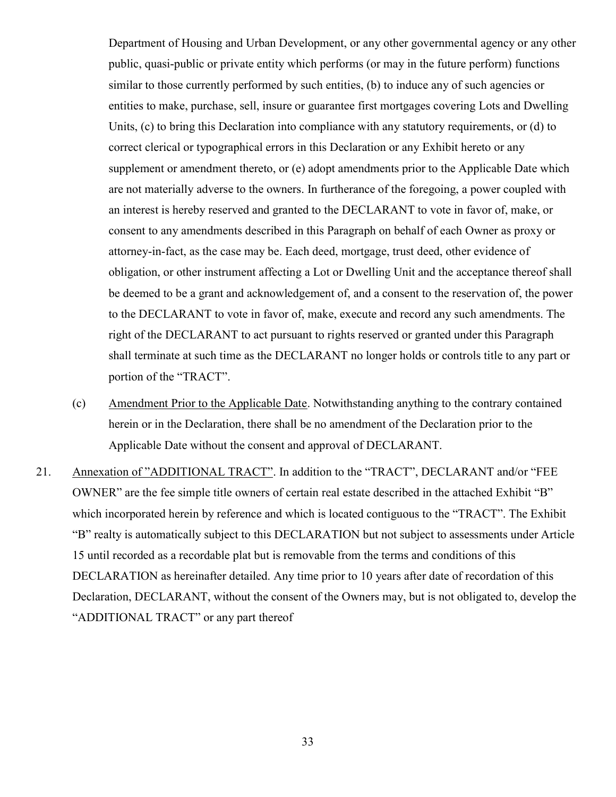Department of Housing and Urban Development, or any other governmental agency or any other public, quasi-public or private entity which performs (or may in the future perform) functions similar to those currently performed by such entities, (b) to induce any of such agencies or entities to make, purchase, sell, insure or guarantee first mortgages covering Lots and Dwelling Units, (c) to bring this Declaration into compliance with any statutory requirements, or (d) to correct clerical or typographical errors in this Declaration or any Exhibit hereto or any supplement or amendment thereto, or (e) adopt amendments prior to the Applicable Date which are not materially adverse to the owners. In furtherance of the foregoing, a power coupled with an interest is hereby reserved and granted to the DECLARANT to vote in favor of, make, or consent to any amendments described in this Paragraph on behalf of each Owner as proxy or attorney-in-fact, as the case may be. Each deed, mortgage, trust deed, other evidence of obligation, or other instrument affecting a Lot or Dwelling Unit and the acceptance thereof shall be deemed to be a grant and acknowledgement of, and a consent to the reservation of, the power to the DECLARANT to vote in favor of, make, execute and record any such amendments. The right of the DECLARANT to act pursuant to rights reserved or granted under this Paragraph shall terminate at such time as the DECLARANT no longer holds or controls title to any part or portion of the "TRACT".

- (c) Amendment Prior to the Applicable Date. Notwithstanding anything to the contrary contained herein or in the Declaration, there shall be no amendment of the Declaration prior to the Applicable Date without the consent and approval of DECLARANT.
- 21. Annexation of "ADDITIONAL TRACT". In addition to the "TRACT", DECLARANT and/or "FEE OWNER" are the fee simple title owners of certain real estate described in the attached Exhibit "B" which incorporated herein by reference and which is located contiguous to the "TRACT". The Exhibit "B" realty is automatically subject to this DECLARATION but not subject to assessments under Article 15 until recorded as a recordable plat but is removable from the terms and conditions of this DECLARATION as hereinafter detailed. Any time prior to 10 years after date of recordation of this Declaration, DECLARANT, without the consent of the Owners may, but is not obligated to, develop the "ADDITIONAL TRACT" or any part thereof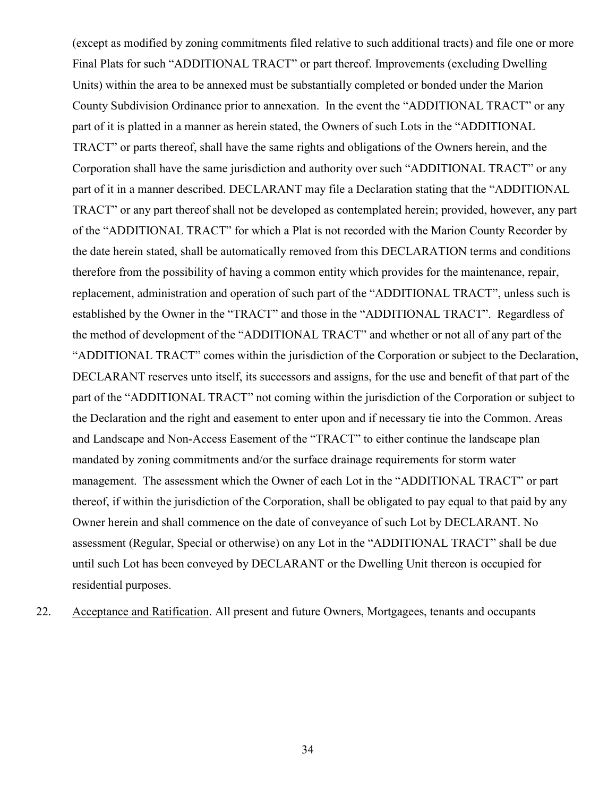(except as modified by zoning commitments filed relative to such additional tracts) and file one or more Final Plats for such "ADDITIONAL TRACT" or part thereof. Improvements (excluding Dwelling Units) within the area to be annexed must be substantially completed or bonded under the Marion County Subdivision Ordinance prior to annexation. In the event the "ADDITIONAL TRACT" or any part of it is platted in a manner as herein stated, the Owners of such Lots in the "ADDITIONAL TRACT" or parts thereof, shall have the same rights and obligations of the Owners herein, and the Corporation shall have the same jurisdiction and authority over such "ADDITIONAL TRACT" or any part of it in a manner described. DECLARANT may file a Declaration stating that the "ADDITIONAL TRACT" or any part thereof shall not be developed as contemplated herein; provided, however, any part of the "ADDITIONAL TRACT" for which a Plat is not recorded with the Marion County Recorder by the date herein stated, shall be automatically removed from this DECLARATION terms and conditions therefore from the possibility of having a common entity which provides for the maintenance, repair, replacement, administration and operation of such part of the "ADDITIONAL TRACT", unless such is established by the Owner in the "TRACT" and those in the "ADDITIONAL TRACT". Regardless of the method of development of the "ADDITIONAL TRACT" and whether or not all of any part of the "ADDITIONAL TRACT" comes within the jurisdiction of the Corporation or subject to the Declaration, DECLARANT reserves unto itself, its successors and assigns, for the use and benefit of that part of the part of the "ADDITIONAL TRACT" not coming within the jurisdiction of the Corporation or subject to the Declaration and the right and easement to enter upon and if necessary tie into the Common. Areas and Landscape and Non-Access Easement of the "TRACT" to either continue the landscape plan mandated by zoning commitments and/or the surface drainage requirements for storm water management. The assessment which the Owner of each Lot in the "ADDITIONAL TRACT" or part thereof, if within the jurisdiction of the Corporation, shall be obligated to pay equal to that paid by any Owner herein and shall commence on the date of conveyance of such Lot by DECLARANT. No assessment (Regular, Special or otherwise) on any Lot in the "ADDITIONAL TRACT" shall be due until such Lot has been conveyed by DECLARANT or the Dwelling Unit thereon is occupied for residential purposes.

22. Acceptance and Ratification. All present and future Owners, Mortgagees, tenants and occupants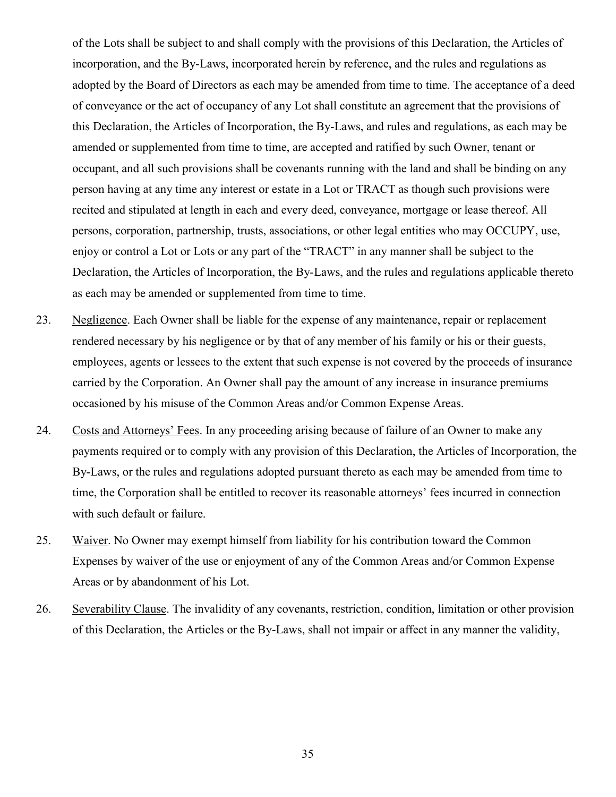of the Lots shall be subject to and shall comply with the provisions of this Declaration, the Articles of incorporation, and the By-Laws, incorporated herein by reference, and the rules and regulations as adopted by the Board of Directors as each may be amended from time to time. The acceptance of a deed of conveyance or the act of occupancy of any Lot shall constitute an agreement that the provisions of this Declaration, the Articles of Incorporation, the By-Laws, and rules and regulations, as each may be amended or supplemented from time to time, are accepted and ratified by such Owner, tenant or occupant, and all such provisions shall be covenants running with the land and shall be binding on any person having at any time any interest or estate in a Lot or TRACT as though such provisions were recited and stipulated at length in each and every deed, conveyance, mortgage or lease thereof. All persons, corporation, partnership, trusts, associations, or other legal entities who may OCCUPY, use, enjoy or control a Lot or Lots or any part of the "TRACT" in any manner shall be subject to the Declaration, the Articles of Incorporation, the By-Laws, and the rules and regulations applicable thereto as each may be amended or supplemented from time to time.

- 23. Negligence. Each Owner shall be liable for the expense of any maintenance, repair or replacement rendered necessary by his negligence or by that of any member of his family or his or their guests, employees, agents or lessees to the extent that such expense is not covered by the proceeds of insurance carried by the Corporation. An Owner shall pay the amount of any increase in insurance premiums occasioned by his misuse of the Common Areas and/or Common Expense Areas.
- 24. Costs and Attorneys' Fees. In any proceeding arising because of failure of an Owner to make any payments required or to comply with any provision of this Declaration, the Articles of Incorporation, the By-Laws, or the rules and regulations adopted pursuant thereto as each may be amended from time to time, the Corporation shall be entitled to recover its reasonable attorneys' fees incurred in connection with such default or failure.
- 25. Waiver. No Owner may exempt himself from liability for his contribution toward the Common Expenses by waiver of the use or enjoyment of any of the Common Areas and/or Common Expense Areas or by abandonment of his Lot.
- 26. Severability Clause. The invalidity of any covenants, restriction, condition, limitation or other provision of this Declaration, the Articles or the By-Laws, shall not impair or affect in any manner the validity,

35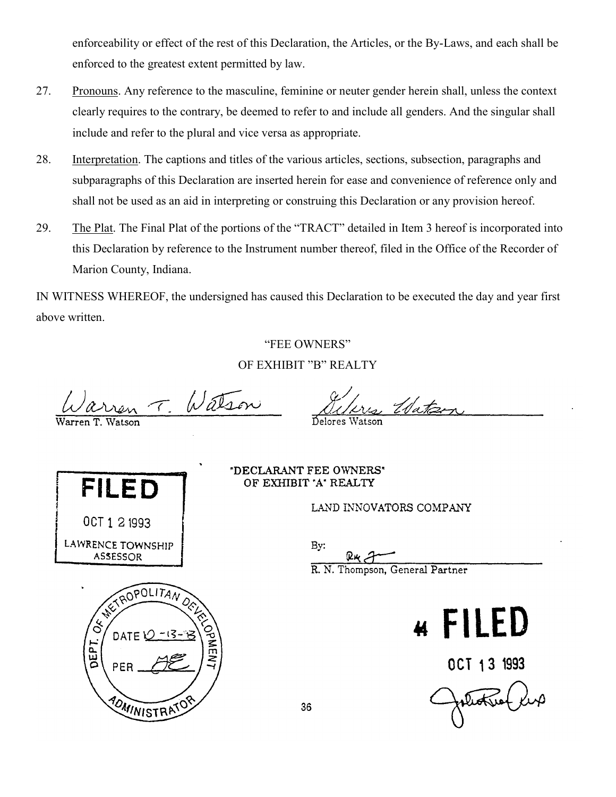enforceability or effect of the rest of this Declaration, the Articles, or the By-Laws, and each shall be enforced to the greatest extent permitted by law.

- 27. Pronouns. Any reference to the masculine, feminine or neuter gender herein shall, unless the context clearly requires to the contrary, be deemed to refer to and include all genders. And the singular shall include and refer to the plural and vice versa as appropriate.
- 28. Interpretation. The captions and titles of the various articles, sections, subsection, paragraphs and subparagraphs of this Declaration are inserted herein for ease and convenience of reference only and shall not be used as an aid in interpreting or construing this Declaration or any provision hereof.
- 29. The Plat. The Final Plat of the portions of the "TRACT" detailed in Item 3 hereof is incorporated into this Declaration by reference to the Instrument number thereof, filed in the Office of the Recorder of Marion County, Indiana.

IN WITNESS WHEREOF, the undersigned has caused this Declaration to be executed the day and year first above written.

#### "FEE OWNERS"

OF EXHIBIT "B" REALTY

Delores Watson

Watson  $\mathcal{T}_{\mathbb{C}}$ 



PER

POMINISTRAT

"DECLARANT FEE OWNERS" OF EXHIBIT 'A' REALTY

LAND INNOVATORS COMPANY

Bv:

R. N. Thompson, General Partner

Water



OCT 13 1993

plette le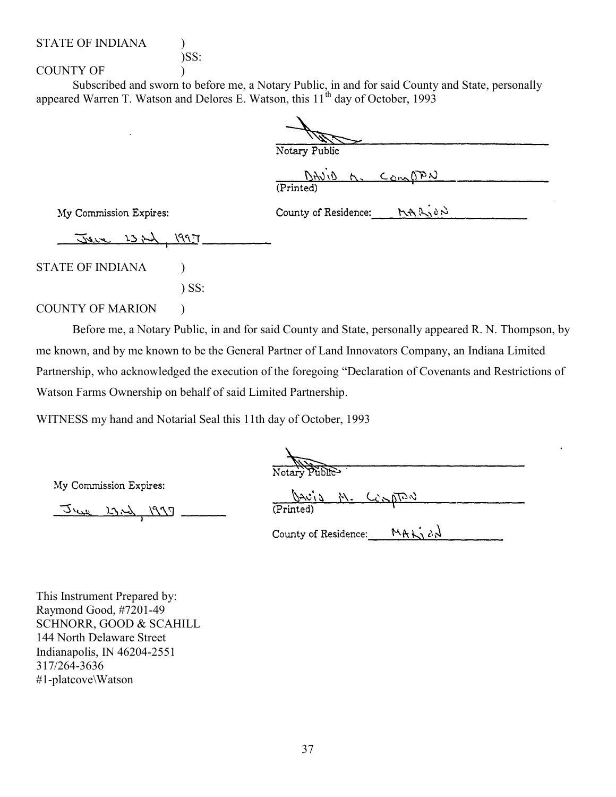# )SS:

COUNTY OF  $\qquad \qquad$  )

Subscribed and sworn to before me, a Notary Public, in and for said County and State, personally appeared Warren T. Watson and Delores E. Watson, this 11<sup>th</sup> day of October, 1993

| Notary Public                    |                 |
|----------------------------------|-----------------|
| (Printed)                        | DAVID M. COMPAN |
| County of Residence: $M + M + N$ |                 |

My Commission Expires:

Jeve 1321, 1997

STATE OF INDIANA (1)

) SS:

#### COUNTY OF MARION )

Before me, a Notary Public, in and for said County and State, personally appeared R. N. Thompson, by me known, and by me known to be the General Partner of Land Innovators Company, an Indiana Limited Partnership, who acknowledged the execution of the foregoing "Declaration of Covenants and Restrictions of Watson Farms Ownership on behalf of said Limited Partnership.

WITNESS my hand and Notarial Seal this 11th day of October, 1993

न्नतार्थ

My Commission Expires:

June 23.2), 1997

|           | DAVID M. CONDRU |  |  |
|-----------|-----------------|--|--|
| (Printed) |                 |  |  |

MALJON County of Residence:

This Instrument Prepared by: Raymond Good, #7201-49 SCHNORR, GOOD & SCAHILL 144 North Delaware Street Indianapolis, IN 46204-2551 317/264-3636 #1-platcove\Watson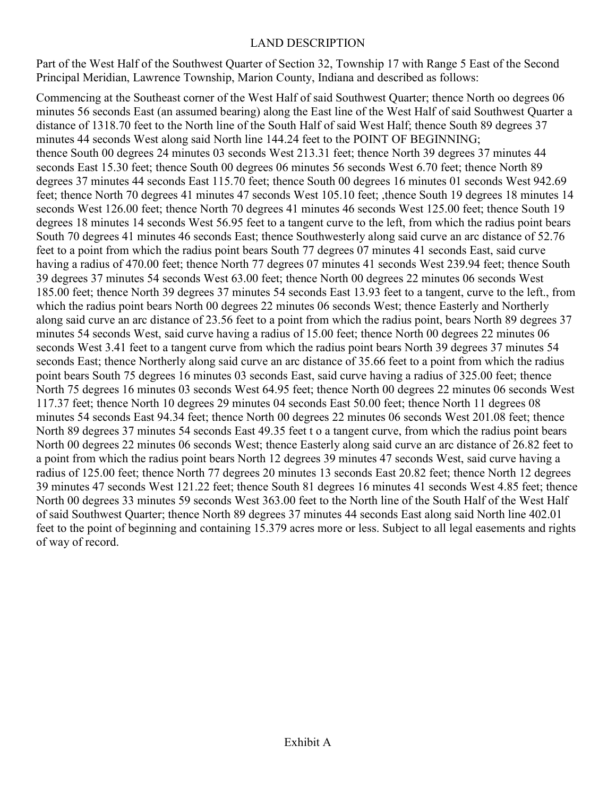# LAND DESCRIPTION

Part of the West Half of the Southwest Quarter of Section 32, Township 17 with Range 5 East of the Second Principal Meridian, Lawrence Township, Marion County, Indiana and described as follows:

Commencing at the Southeast corner of the West Half of said Southwest Quarter; thence North oo degrees 06 minutes 56 seconds East (an assumed bearing) along the East line of the West Half of said Southwest Quarter a distance of 1318.70 feet to the North line of the South Half of said West Half; thence South 89 degrees 37 minutes 44 seconds West along said North line 144.24 feet to the POINT OF BEGINNING; thence South 00 degrees 24 minutes 03 seconds West 213.31 feet; thence North 39 degrees 37 minutes 44 seconds East 15.30 feet; thence South 00 degrees 06 minutes 56 seconds West 6.70 feet; thence North 89 degrees 37 minutes 44 seconds East 115.70 feet; thence South 00 degrees 16 minutes 01 seconds West 942.69 feet; thence North 70 degrees 41 minutes 47 seconds West 105.10 feet; ,thence South 19 degrees 18 minutes 14 seconds West 126.00 feet; thence North 70 degrees 41 minutes 46 seconds West 125.00 feet; thence South 19 degrees 18 minutes 14 seconds West 56.95 feet to a tangent curve to the left, from which the radius point bears South 70 degrees 41 minutes 46 seconds East; thence Southwesterly along said curve an arc distance of 52.76 feet to a point from which the radius point bears South 77 degrees 07 minutes 41 seconds East, said curve having a radius of 470.00 feet; thence North 77 degrees 07 minutes 41 seconds West 239.94 feet; thence South 39 degrees 37 minutes 54 seconds West 63.00 feet; thence North 00 degrees 22 minutes 06 seconds West 185.00 feet; thence North 39 degrees 37 minutes 54 seconds East 13.93 feet to a tangent, curve to the left., from which the radius point bears North 00 degrees 22 minutes 06 seconds West; thence Easterly and Northerly along said curve an arc distance of 23.56 feet to a point from which the radius point, bears North 89 degrees 37 minutes 54 seconds West, said curve having a radius of 15.00 feet; thence North 00 degrees 22 minutes 06 seconds West 3.41 feet to a tangent curve from which the radius point bears North 39 degrees 37 minutes 54 seconds East; thence Northerly along said curve an arc distance of 35.66 feet to a point from which the radius point bears South 75 degrees 16 minutes 03 seconds East, said curve having a radius of 325.00 feet; thence North 75 degrees 16 minutes 03 seconds West 64.95 feet; thence North 00 degrees 22 minutes 06 seconds West 117.37 feet; thence North 10 degrees 29 minutes 04 seconds East 50.00 feet; thence North 11 degrees 08 minutes 54 seconds East 94.34 feet; thence North 00 degrees 22 minutes 06 seconds West 201.08 feet; thence North 89 degrees 37 minutes 54 seconds East 49.35 feet t o a tangent curve, from which the radius point bears North 00 degrees 22 minutes 06 seconds West; thence Easterly along said curve an arc distance of 26.82 feet to a point from which the radius point bears North 12 degrees 39 minutes 47 seconds West, said curve having a radius of 125.00 feet; thence North 77 degrees 20 minutes 13 seconds East 20.82 feet; thence North 12 degrees 39 minutes 47 seconds West 121.22 feet; thence South 81 degrees 16 minutes 41 seconds West 4.85 feet; thence North 00 degrees 33 minutes 59 seconds West 363.00 feet to the North line of the South Half of the West Half of said Southwest Quarter; thence North 89 degrees 37 minutes 44 seconds East along said North line 402.01 feet to the point of beginning and containing 15.379 acres more or less. Subject to all legal easements and rights of way of record.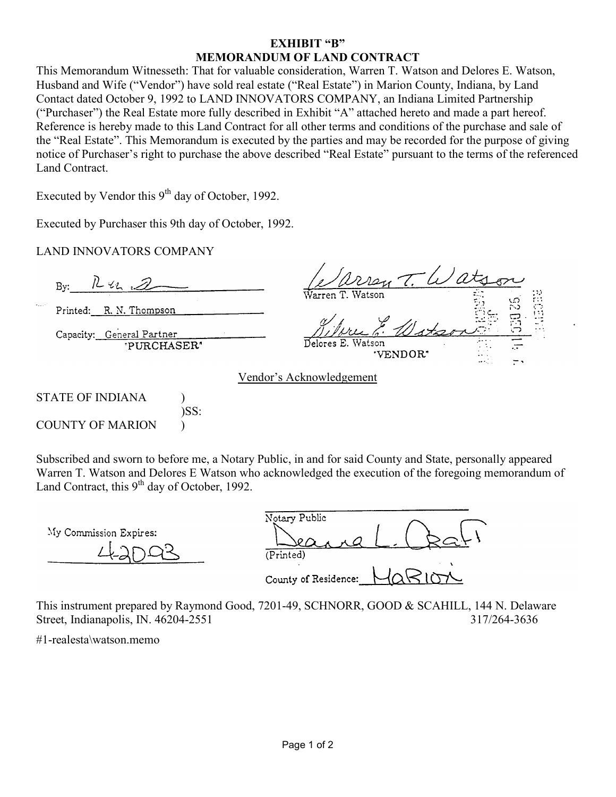## EXHIBIT "B" MEMORANDUM OF LAND CONTRACT

This Memorandum Witnesseth: That for valuable consideration, Warren T. Watson and Delores E. Watson, Husband and Wife ("Vendor") have sold real estate ("Real Estate") in Marion County, Indiana, by Land Contact dated October 9, 1992 to LAND INNOVATORS COMPANY, an Indiana Limited Partnership ("Purchaser") the Real Estate more fully described in Exhibit "A" attached hereto and made a part hereof. Reference is hereby made to this Land Contract for all other terms and conditions of the purchase and sale of the "Real Estate". This Memorandum is executed by the parties and may be recorded for the purpose of giving notice of Purchaser's right to purchase the above described "Real Estate" pursuant to the terms of the referenced Land Contract.

Executed by Vendor this  $9<sup>th</sup>$  day of October, 1992.

Executed by Purchaser this 9th day of October, 1992.

)SS:

LAND INNOVATORS COMPANY

 $1242.$ By: Printed: R. N. Thompson Capacity: General Partner PURCHASER" VENDOR: Vendor's Acknowledgement STATE OF INDIANA )

COUNTY OF MARION  $\qquad$ 

Subscribed and sworn to before me, a Notary Public, in and for said County and State, personally appeared Warren T. Watson and Delores E Watson who acknowledged the execution of the foregoing memorandum of Land Contract, this  $9<sup>th</sup>$  day of October, 1992.

My Commission Expires:

Notary Public  $(Printed)$ County of Residence:

This instrument prepared by Raymond Good, 7201-49, SCHNORR, GOOD & SCAHILL, 144 N. Delaware Street, Indianapolis, IN. 46204-2551 317/264-3636

#1-realesta\watson.memo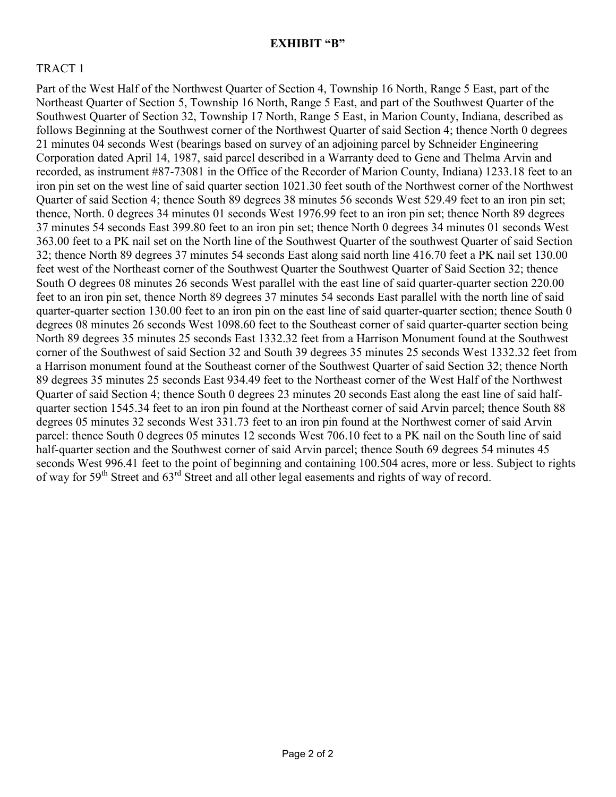#### EXHIBIT "B"

# TRACT 1

Part of the West Half of the Northwest Quarter of Section 4, Township 16 North, Range 5 East, part of the Northeast Quarter of Section 5, Township 16 North, Range 5 East, and part of the Southwest Quarter of the Southwest Quarter of Section 32, Township 17 North, Range 5 East, in Marion County, Indiana, described as follows Beginning at the Southwest corner of the Northwest Quarter of said Section 4; thence North 0 degrees 21 minutes 04 seconds West (bearings based on survey of an adjoining parcel by Schneider Engineering Corporation dated April 14, 1987, said parcel described in a Warranty deed to Gene and Thelma Arvin and recorded, as instrument #87-73081 in the Office of the Recorder of Marion County, Indiana) 1233.18 feet to an iron pin set on the west line of said quarter section 1021.30 feet south of the Northwest corner of the Northwest Quarter of said Section 4; thence South 89 degrees 38 minutes 56 seconds West 529.49 feet to an iron pin set; thence, North. 0 degrees 34 minutes 01 seconds West 1976.99 feet to an iron pin set; thence North 89 degrees 37 minutes 54 seconds East 399.80 feet to an iron pin set; thence North 0 degrees 34 minutes 01 seconds West 363.00 feet to a PK nail set on the North line of the Southwest Quarter of the southwest Quarter of said Section 32; thence North 89 degrees 37 minutes 54 seconds East along said north line 416.70 feet a PK nail set 130.00 feet west of the Northeast corner of the Southwest Quarter the Southwest Quarter of Said Section 32; thence South O degrees 08 minutes 26 seconds West parallel with the east line of said quarter-quarter section 220.00 feet to an iron pin set, thence North 89 degrees 37 minutes 54 seconds East parallel with the north line of said quarter-quarter section 130.00 feet to an iron pin on the east line of said quarter-quarter section; thence South 0 degrees 08 minutes 26 seconds West 1098.60 feet to the Southeast corner of said quarter-quarter section being North 89 degrees 35 minutes 25 seconds East 1332.32 feet from a Harrison Monument found at the Southwest corner of the Southwest of said Section 32 and South 39 degrees 35 minutes 25 seconds West 1332.32 feet from a Harrison monument found at the Southeast corner of the Southwest Quarter of said Section 32; thence North 89 degrees 35 minutes 25 seconds East 934.49 feet to the Northeast corner of the West Half of the Northwest Quarter of said Section 4; thence South 0 degrees 23 minutes 20 seconds East along the east line of said halfquarter section 1545.34 feet to an iron pin found at the Northeast corner of said Arvin parcel; thence South 88 degrees 05 minutes 32 seconds West 331.73 feet to an iron pin found at the Northwest corner of said Arvin parcel: thence South 0 degrees 05 minutes 12 seconds West 706.10 feet to a PK nail on the South line of said half-quarter section and the Southwest corner of said Arvin parcel; thence South 69 degrees 54 minutes 45 seconds West 996.41 feet to the point of beginning and containing 100.504 acres, more or less. Subject to rights of way for 59th Street and 63rd Street and all other legal easements and rights of way of record.